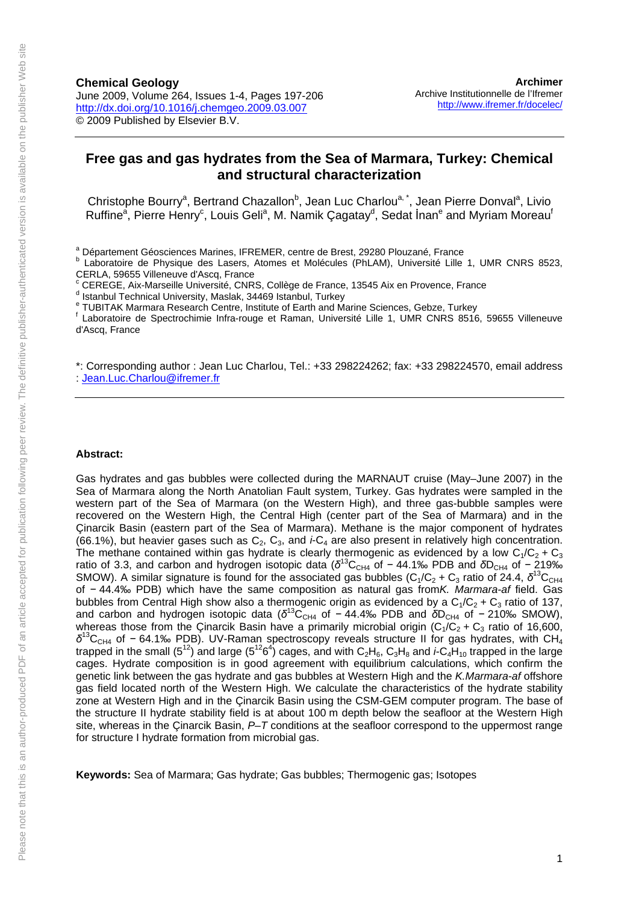### **Free gas and gas hydrates from the Sea of Marmara, Turkey: Chemical and structural characterization**

Christophe Bourry<sup>a</sup>, Bertrand Chazallon<sup>b</sup>, Jean Luc Charlou<sup>a, \*</sup>, Jean Pierre Donval<sup>a</sup>, Livio Ruffine<sup>a</sup>, Pierre Henry<sup>c</sup>, Louis Geli<sup>a</sup>, M. Namik Çagatay<sup>d</sup>, Sedat İnan<sup>e</sup> and Myriam Moreau<sup>t</sup>

<sup>a</sup> Département Géosciences Marines, IFREMER, centre de Brest, 29280 Plouzané, France

- c CEREGE, Aix-Marseille Université, CNRS, Collège de France, 13545 Aix en Provence, France
- d Istanbul Technical University, Maslak, 34469 Istanbul, Turkey
- <sup>e</sup> TUBITAK Marmara Research Centre, Institute of Earth and Marine Sciences, Gebze, Turkey<br><sup>f</sup> Leberateire de Spectrechimie Infra reuge et Beman, Université Lille 4, LIMB CNBS 8546

 Laboratoire de Spectrochimie Infra-rouge et Raman, Université Lille 1, UMR CNRS 8516, 59655 Villeneuve d'Ascq, France

\*: Corresponding author : Jean Luc Charlou, Tel.: +33 298224262; fax: +33 298224570, email address : [Jean.Luc.Charlou@ifremer.fr](mailto:Jean.Luc.Charlou@ifremer.fr)

#### **Abstract:**

Gas hydrates and gas bubbles were collected during the MARNAUT cruise (May–June 2007) in the Sea of Marmara along the North Anatolian Fault system, Turkey. Gas hydrates were sampled in the western part of the Sea of Marmara (on the Western High), and three gas-bubble samples were recovered on the Western High, the Central High (center part of the Sea of Marmara) and in the Çinarcik Basin (eastern part of the Sea of Marmara). Methane is the major component of hydrates (66.1%), but heavier gases such as  $C_2$ ,  $C_3$ , and *i*-C<sub>4</sub> are also present in relatively high concentration. The methane contained within gas hydrate is clearly thermogenic as evidenced by a low  $C_1/C_2 + C_3$ ratio of 3.3, and carbon and hydrogen isotopic data (δ<sup>13</sup>C<sub>CH4</sub> of − 44.1‰ PDB and δD<sub>CH4</sub> of − 219‰ SMOW). A similar signature is found for the associated gas bubbles  $(C_1/C_2 + C_3$  ratio of 24.4,  $\delta^{13}C_{CH4}$ of − 44.4‰ PDB) which have the same composition as natural gas from*K. Marmara-af* field. Gas bubbles from Central High show also a thermogenic origin as evidenced by a  $C_1/C_2 + C_3$  ratio of 137, and carbon and hydrogen isotopic data ( $\delta^{13}C_{CH4}$  of − 44.4‰ PDB and  $\delta D_{CH4}$  of − 210‰ SMOW), whereas those from the Çinarcik Basin have a primarily microbial origin  $(C_1/C_2 + C_3$  ratio of 16,600,  $δ$ <sup>13</sup>C<sub>CH4</sub> of − 64.1‰ PDB). UV-Raman spectroscopy reveals structure II for gas hydrates, with CH<sub>4</sub> trapped in the small (5<sup>12</sup>) and large (5<sup>12</sup>6<sup>4</sup>) cages, and with C<sub>2</sub>H<sub>6</sub>, C<sub>3</sub>H<sub>8</sub> and *i*-C<sub>4</sub>H<sub>10</sub> trapped in the large cages. Hydrate composition is in good agreement with equilibrium calculations, which confirm the genetic link between the gas hydrate and gas bubbles at Western High and the *K.Marmara-af* offshore gas field located north of the Western High. We calculate the characteristics of the hydrate stability zone at Western High and in the Çinarcik Basin using the CSM-GEM computer program. The base of the structure II hydrate stability field is at about 100 m depth below the seafloor at the Western High site, whereas in the Çinarcik Basin, *P*–*T* conditions at the seafloor correspond to the uppermost range for structure I hydrate formation from microbial gas.

**Keywords:** Sea of Marmara; Gas hydrate; Gas bubbles; Thermogenic gas; Isotopes

<sup>&</sup>lt;sup>b</sup> Laboratoire de Physique des Lasers, Atomes et Molécules (PhLAM), Université Lille 1, UMR CNRS 8523, CERLA, 59655 Villeneuve d'Ascq, France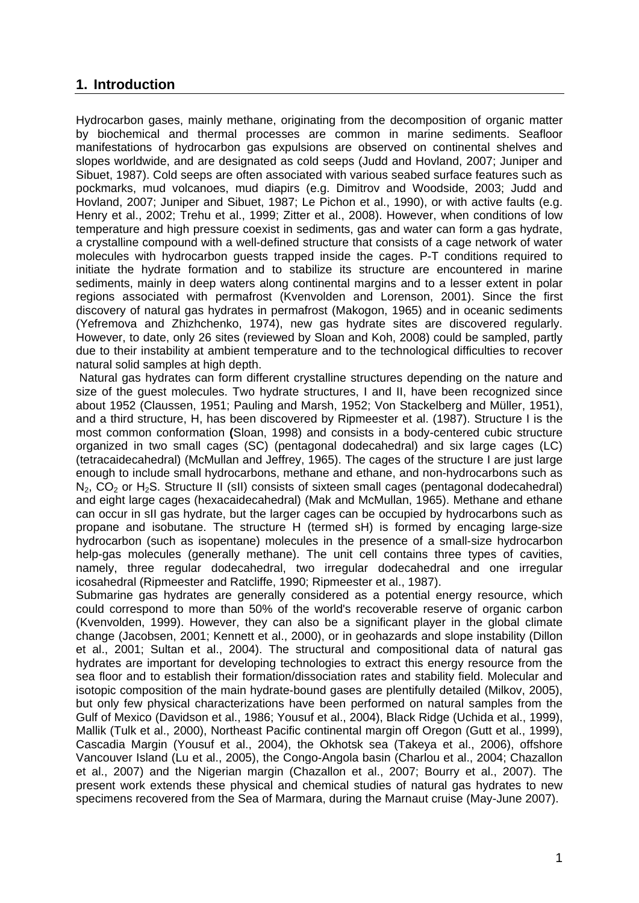# **1. Introduction**

Hydrocarbon gases, mainly methane, originating from the decomposition of organic matter by biochemical and thermal processes are common in marine sediments. Seafloor manifestations of hydrocarbon gas expulsions are observed on continental shelves and slopes worldwide, and are designated as cold seeps (Judd and Hovland, 2007; Juniper and Sibuet, 1987). Cold seeps are often associated with various seabed surface features such as pockmarks, mud volcanoes, mud diapirs (e.g. Dimitrov and Woodside, 2003; Judd and Hovland, 2007; Juniper and Sibuet, 1987; Le Pichon et al., 1990), or with active faults (e.g. Henry et al., 2002; Trehu et al., 1999; Zitter et al., 2008). However, when conditions of low temperature and high pressure coexist in sediments, gas and water can form a gas hydrate, a crystalline compound with a well-defined structure that consists of a cage network of water molecules with hydrocarbon guests trapped inside the cages. P-T conditions required to initiate the hydrate formation and to stabilize its structure are encountered in marine sediments, mainly in deep waters along continental margins and to a lesser extent in polar regions associated with permafrost (Kvenvolden and Lorenson, 2001). Since the first discovery of natural gas hydrates in permafrost (Makogon, 1965) and in oceanic sediments (Yefremova and Zhizhchenko, 1974), new gas hydrate sites are discovered regularly. However, to date, only 26 sites (reviewed by Sloan and Koh, 2008) could be sampled, partly due to their instability at ambient temperature and to the technological difficulties to recover natural solid samples at high depth.

 Natural gas hydrates can form different crystalline structures depending on the nature and size of the guest molecules. Two hydrate structures, I and II, have been recognized since about 1952 (Claussen, 1951; Pauling and Marsh, 1952; Von Stackelberg and Müller, 1951), and a third structure, H, has been discovered by Ripmeester et al. (1987). Structure I is the most common conformation **(**Sloan, 1998) and consists in a body-centered cubic structure organized in two small cages (SC) (pentagonal dodecahedral) and six large cages (LC) (tetracaidecahedral) (McMullan and Jeffrey, 1965). The cages of the structure I are just large enough to include small hydrocarbons, methane and ethane, and non-hydrocarbons such as  $N_2$ ,  $CO_2$  or  $H_2S$ . Structure II (sII) consists of sixteen small cages (pentagonal dodecahedral) and eight large cages (hexacaidecahedral) (Mak and McMullan, 1965). Methane and ethane can occur in sII gas hydrate, but the larger cages can be occupied by hydrocarbons such as propane and isobutane. The structure H (termed sH) is formed by encaging large-size hydrocarbon (such as isopentane) molecules in the presence of a small-size hydrocarbon help-gas molecules (generally methane). The unit cell contains three types of cavities, namely, three regular dodecahedral, two irregular dodecahedral and one irregular icosahedral (Ripmeester and Ratcliffe, 1990; Ripmeester et al., 1987).

Submarine gas hydrates are generally considered as a potential energy resource, which could correspond to more than 50% of the world's recoverable reserve of organic carbon (Kvenvolden, 1999). However, they can also be a significant player in the global climate change (Jacobsen, 2001; Kennett et al., 2000), or in geohazards and slope instability (Dillon et al., 2001; Sultan et al., 2004). The structural and compositional data of natural gas hydrates are important for developing technologies to extract this energy resource from the sea floor and to establish their formation/dissociation rates and stability field. Molecular and isotopic composition of the main hydrate-bound gases are plentifully detailed (Milkov, 2005), but only few physical characterizations have been performed on natural samples from the Gulf of Mexico (Davidson et al., 1986; Yousuf et al., 2004), Black Ridge (Uchida et al., 1999), Mallik (Tulk et al., 2000), Northeast Pacific continental margin off Oregon (Gutt et al., 1999), Cascadia Margin (Yousuf et al., 2004), the Okhotsk sea (Takeya et al., 2006), offshore Vancouver Island (Lu et al., 2005), the Congo-Angola basin (Charlou et al., 2004; Chazallon et al., 2007) and the Nigerian margin (Chazallon et al., 2007; Bourry et al., 2007). The present work extends these physical and chemical studies of natural gas hydrates to new specimens recovered from the Sea of Marmara, during the Marnaut cruise (May-June 2007).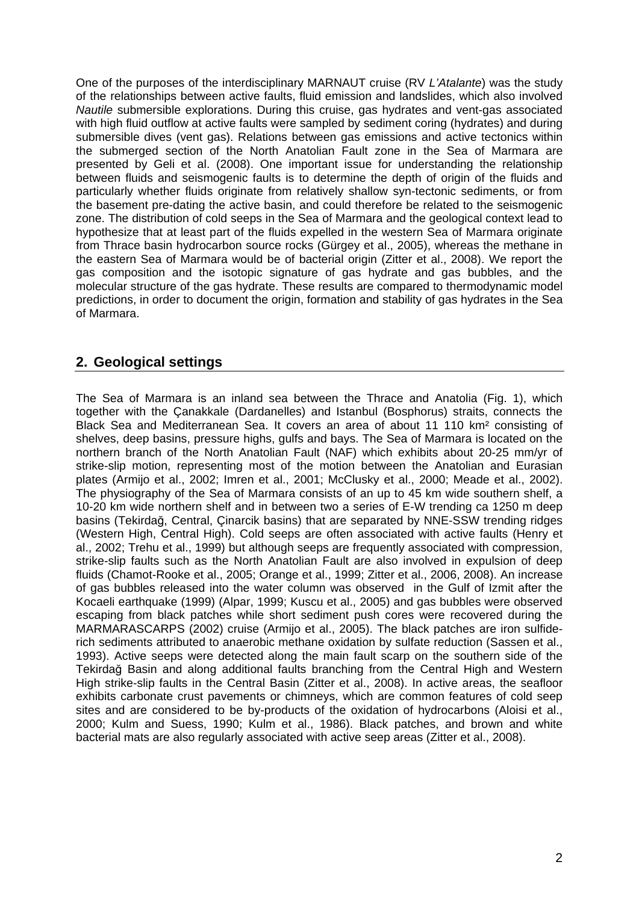One of the purposes of the interdisciplinary MARNAUT cruise (RV *L'Atalante*) was the study of the relationships between active faults, fluid emission and landslides, which also involved *Nautile* submersible explorations. During this cruise, gas hydrates and vent-gas associated with high fluid outflow at active faults were sampled by sediment coring (hydrates) and during submersible dives (vent gas). Relations between gas emissions and active tectonics within the submerged section of the North Anatolian Fault zone in the Sea of Marmara are presented by Geli et al. (2008). One important issue for understanding the relationship between fluids and seismogenic faults is to determine the depth of origin of the fluids and particularly whether fluids originate from relatively shallow syn-tectonic sediments, or from the basement pre-dating the active basin, and could therefore be related to the seismogenic zone. The distribution of cold seeps in the Sea of Marmara and the geological context lead to hypothesize that at least part of the fluids expelled in the western Sea of Marmara originate from Thrace basin hydrocarbon source rocks (Gürgey et al., 2005), whereas the methane in the eastern Sea of Marmara would be of bacterial origin (Zitter et al., 2008). We report the gas composition and the isotopic signature of gas hydrate and gas bubbles, and the molecular structure of the gas hydrate. These results are compared to thermodynamic model predictions, in order to document the origin, formation and stability of gas hydrates in the Sea of Marmara.

# **2. Geological settings**

The Sea of Marmara is an inland sea between the Thrace and Anatolia (Fig. 1), which together with the Çanakkale (Dardanelles) and Istanbul (Bosphorus) straits, connects the Black Sea and Mediterranean Sea. It covers an area of about 11 110 km² consisting of shelves, deep basins, pressure highs, gulfs and bays. The Sea of Marmara is located on the northern branch of the North Anatolian Fault (NAF) which exhibits about 20-25 mm/yr of strike-slip motion, representing most of the motion between the Anatolian and Eurasian plates (Armijo et al., 2002; Imren et al., 2001; McClusky et al., 2000; Meade et al., 2002). The physiography of the Sea of Marmara consists of an up to 45 km wide southern shelf, a 10-20 km wide northern shelf and in between two a series of E-W trending ca 1250 m deep basins (Tekirdağ, Central, Çinarcik basins) that are separated by NNE-SSW trending ridges (Western High, Central High). Cold seeps are often associated with active faults (Henry et al., 2002; Trehu et al., 1999) but although seeps are frequently associated with compression, strike-slip faults such as the North Anatolian Fault are also involved in expulsion of deep fluids (Chamot-Rooke et al., 2005; Orange et al., 1999; Zitter et al., 2006, 2008). An increase of gas bubbles released into the water column was observed in the Gulf of Izmit after the Kocaeli earthquake (1999) (Alpar, 1999; Kuscu et al., 2005) and gas bubbles were observed escaping from black patches while short sediment push cores were recovered during the MARMARASCARPS (2002) cruise (Armijo et al., 2005). The black patches are iron sulfiderich sediments attributed to anaerobic methane oxidation by sulfate reduction (Sassen et al., 1993). Active seeps were detected along the main fault scarp on the southern side of the Tekirdağ Basin and along additional faults branching from the Central High and Western High strike-slip faults in the Central Basin (Zitter et al., 2008). In active areas, the seafloor exhibits carbonate crust pavements or chimneys, which are common features of cold seep sites and are considered to be by-products of the oxidation of hydrocarbons (Aloisi et al., 2000; Kulm and Suess, 1990; Kulm et al., 1986). Black patches, and brown and white bacterial mats are also regularly associated with active seep areas (Zitter et al., 2008).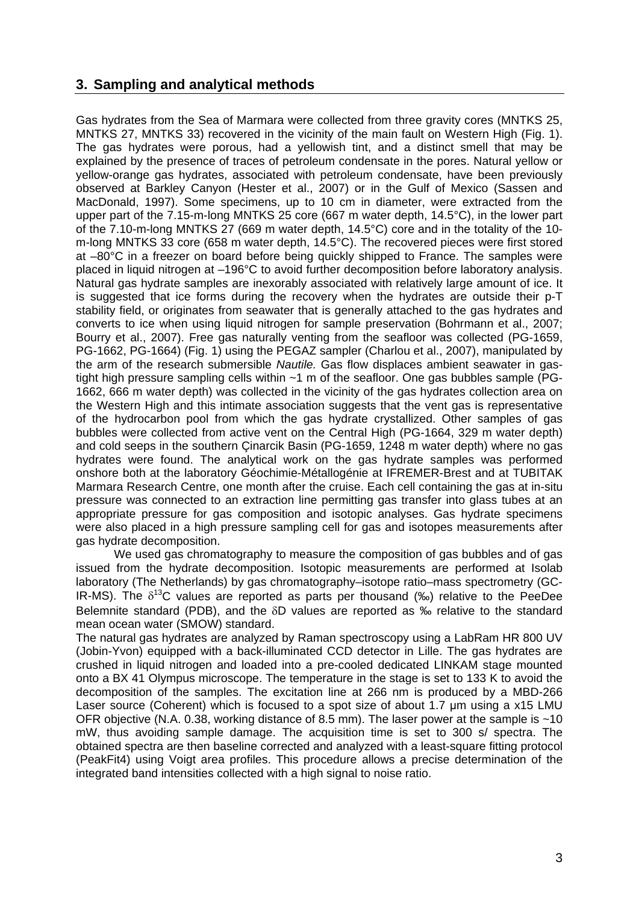## **3. Sampling and analytical methods**

Gas hydrates from the Sea of Marmara were collected from three gravity cores (MNTKS 25, MNTKS 27, MNTKS 33) recovered in the vicinity of the main fault on Western High (Fig. 1). The gas hydrates were porous, had a yellowish tint, and a distinct smell that may be explained by the presence of traces of petroleum condensate in the pores. Natural yellow or yellow-orange gas hydrates, associated with petroleum condensate, have been previously observed at Barkley Canyon (Hester et al., 2007) or in the Gulf of Mexico (Sassen and MacDonald, 1997). Some specimens, up to 10 cm in diameter, were extracted from the upper part of the 7.15-m-long MNTKS 25 core (667 m water depth, 14.5°C), in the lower part of the 7.10-m-long MNTKS 27 (669 m water depth, 14.5°C) core and in the totality of the 10 m-long MNTKS 33 core (658 m water depth, 14.5°C). The recovered pieces were first stored at –80°C in a freezer on board before being quickly shipped to France. The samples were placed in liquid nitrogen at –196°C to avoid further decomposition before laboratory analysis. Natural gas hydrate samples are inexorably associated with relatively large amount of ice. It is suggested that ice forms during the recovery when the hydrates are outside their p-T stability field, or originates from seawater that is generally attached to the gas hydrates and converts to ice when using liquid nitrogen for sample preservation (Bohrmann et al., 2007; Bourry et al., 2007). Free gas naturally venting from the seafloor was collected (PG-1659, PG-1662, PG-1664) (Fig. 1) using the PEGAZ sampler (Charlou et al., 2007), manipulated by the arm of the research submersible *Nautile.* Gas flow displaces ambient seawater in gastight high pressure sampling cells within ~1 m of the seafloor. One gas bubbles sample (PG-1662, 666 m water depth) was collected in the vicinity of the gas hydrates collection area on the Western High and this intimate association suggests that the vent gas is representative of the hydrocarbon pool from which the gas hydrate crystallized. Other samples of gas bubbles were collected from active vent on the Central High (PG-1664, 329 m water depth) and cold seeps in the southern Çinarcik Basin (PG-1659, 1248 m water depth) where no gas hydrates were found. The analytical work on the gas hydrate samples was performed onshore both at the laboratory Géochimie-Métallogénie at IFREMER-Brest and at TUBITAK Marmara Research Centre, one month after the cruise. Each cell containing the gas at in-situ pressure was connected to an extraction line permitting gas transfer into glass tubes at an appropriate pressure for gas composition and isotopic analyses. Gas hydrate specimens were also placed in a high pressure sampling cell for gas and isotopes measurements after gas hydrate decomposition.

 We used gas chromatography to measure the composition of gas bubbles and of gas issued from the hydrate decomposition. Isotopic measurements are performed at Isolab laboratory (The Netherlands) by gas chromatography–isotope ratio–mass spectrometry (GC-IR-MS). The  $\delta^{13}$ C values are reported as parts per thousand (‰) relative to the PeeDee Belemnite standard (PDB), and the  $\delta$ D values are reported as ‰ relative to the standard mean ocean water (SMOW) standard.

The natural gas hydrates are analyzed by Raman spectroscopy using a LabRam HR 800 UV (Jobin-Yvon) equipped with a back-illuminated CCD detector in Lille. The gas hydrates are crushed in liquid nitrogen and loaded into a pre-cooled dedicated LINKAM stage mounted onto a BX 41 Olympus microscope. The temperature in the stage is set to 133 K to avoid the decomposition of the samples. The excitation line at 266 nm is produced by a MBD-266 Laser source (Coherent) which is focused to a spot size of about 1.7 μm using a x15 LMU OFR objective (N.A. 0.38, working distance of 8.5 mm). The laser power at the sample is ~10 mW, thus avoiding sample damage. The acquisition time is set to 300 s/ spectra. The obtained spectra are then baseline corrected and analyzed with a least-square fitting protocol (PeakFit4) using Voigt area profiles. This procedure allows a precise determination of the integrated band intensities collected with a high signal to noise ratio.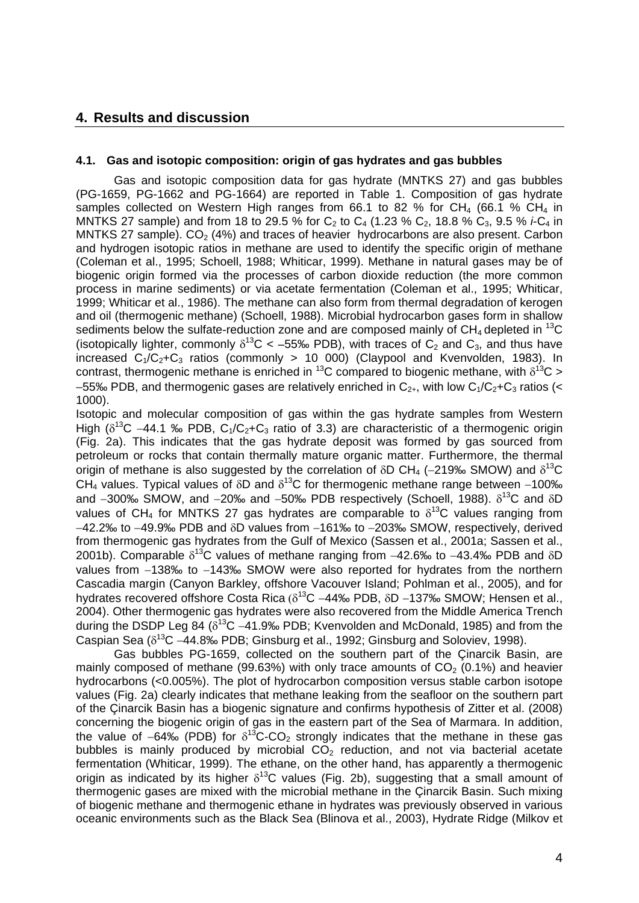### **4. Results and discussion**

#### **4.1. Gas and isotopic composition: origin of gas hydrates and gas bubbles**

 Gas and isotopic composition data for gas hydrate (MNTKS 27) and gas bubbles (PG-1659, PG-1662 and PG-1664) are reported in Table 1. Composition of gas hydrate samples collected on Western High ranges from 66.1 to 82 % for CH<sub>4</sub> (66.1 % CH<sub>4</sub> in MNTKS 27 sample) and from 18 to 29.5 % for C<sub>2</sub> to C<sub>4</sub> (1.23 % C<sub>2</sub>, 18.8 % C<sub>3</sub>, 9.5 % *i*-C<sub>4</sub> in MNTKS 27 sample).  $CO<sub>2</sub>$  (4%) and traces of heavier hydrocarbons are also present. Carbon and hydrogen isotopic ratios in methane are used to identify the specific origin of methane (Coleman et al., 1995; Schoell, 1988; Whiticar, 1999). Methane in natural gases may be of biogenic origin formed via the processes of carbon dioxide reduction (the more common process in marine sediments) or via acetate fermentation (Coleman et al., 1995; Whiticar, 1999; Whiticar et al., 1986). The methane can also form from thermal degradation of kerogen and oil (thermogenic methane) (Schoell, 1988). Microbial hydrocarbon gases form in shallow sediments below the sulfate-reduction zone and are composed mainly of  $CH_4$  depleted in <sup>13</sup>C (isotopically lighter, commonly  $\delta^{13}$ C < -55‰ PDB), with traces of C<sub>2</sub> and C<sub>3</sub>, and thus have increased  $C_1/C_2+C_3$  ratios (commonly > 10 000) (Claypool and Kvenvolden, 1983). In contrast, thermogenic methane is enriched in  ${}^{13}C$  compared to biogenic methane, with  $\delta {}^{13}C$  >  $-55%$  PDB, and thermogenic gases are relatively enriched in  $C_{2+}$ , with low  $C_1/C_2+C_3$  ratios (< 1000).

Isotopic and molecular composition of gas within the gas hydrate samples from Western High ( $\delta^{13}$ C -44.1 ‰ PDB, C<sub>1</sub>/C<sub>2</sub>+C<sub>3</sub> ratio of 3.3) are characteristic of a thermogenic origin (Fig. 2a). This indicates that the gas hydrate deposit was formed by gas sourced from petroleum or rocks that contain thermally mature organic matter. Furthermore, the thermal origin of methane is also suggested by the correlation of  $\delta$ D CH<sub>4</sub> (-219‰ SMOW) and  $\delta^{13}$ C CH<sub>4</sub> values. Typical values of  $\delta$ D and  $\delta^{13}$ C for thermogenic methane range between -100‰ and  $-300\%$  SMOW, and  $-20\%$  and  $-50\%$  PDB respectively (Schoell, 1988).  $\delta^{13}$ C and  $\delta$ D values of CH<sub>4</sub> for MNTKS 27 gas hydrates are comparable to  $\delta^{13}$ C values ranging from  $-42.2\%$  to  $-49.9\%$  PDB and  $\delta$ D values from  $-161\%$  to  $-203\%$  SMOW, respectively, derived from thermogenic gas hydrates from the Gulf of Mexico (Sassen et al., 2001a; Sassen et al., 2001b). Comparable  $\delta^{13}$ C values of methane ranging from -42.6‰ to -43.4‰ PDB and  $\delta$ D values from  $-138\%$  to  $-143\%$  SMOW were also reported for hydrates from the northern Cascadia margin (Canyon Barkley, offshore Vacouver Island; Pohlman et al., 2005), and for hydrates recovered offshore Costa Rica ( $\delta^{13}$ C -44‰ PDB,  $\delta$ D -137‰ SMOW; Hensen et al., 2004). Other thermogenic gas hydrates were also recovered from the Middle America Trench during the DSDP Leg 84 ( $\delta^{13}$ C -41.9‰ PDB; Kvenvolden and McDonald, 1985) and from the Caspian Sea ( $\delta^{13}$ C -44.8‰ PDB; Ginsburg et al., 1992; Ginsburg and Soloviev, 1998).

 Gas bubbles PG-1659, collected on the southern part of the Çinarcik Basin, are mainly composed of methane (99.63%) with only trace amounts of  $CO<sub>2</sub>$  (0.1%) and heavier hydrocarbons (<0.005%). The plot of hydrocarbon composition versus stable carbon isotope values (Fig. 2a) clearly indicates that methane leaking from the seafloor on the southern part of the Çinarcik Basin has a biogenic signature and confirms hypothesis of Zitter et al. (2008) concerning the biogenic origin of gas in the eastern part of the Sea of Marmara. In addition, the value of  $-64\%$  (PDB) for  $\delta^{13}$ C-CO<sub>2</sub> strongly indicates that the methane in these gas bubbles is mainly produced by microbial  $CO<sub>2</sub>$  reduction, and not via bacterial acetate fermentation (Whiticar, 1999). The ethane, on the other hand, has apparently a thermogenic origin as indicated by its higher  $\delta^{13}$ C values (Fig. 2b), suggesting that a small amount of thermogenic gases are mixed with the microbial methane in the Çinarcik Basin. Such mixing of biogenic methane and thermogenic ethane in hydrates was previously observed in various oceanic environments such as the Black Sea (Blinova et al., 2003), Hydrate Ridge (Milkov et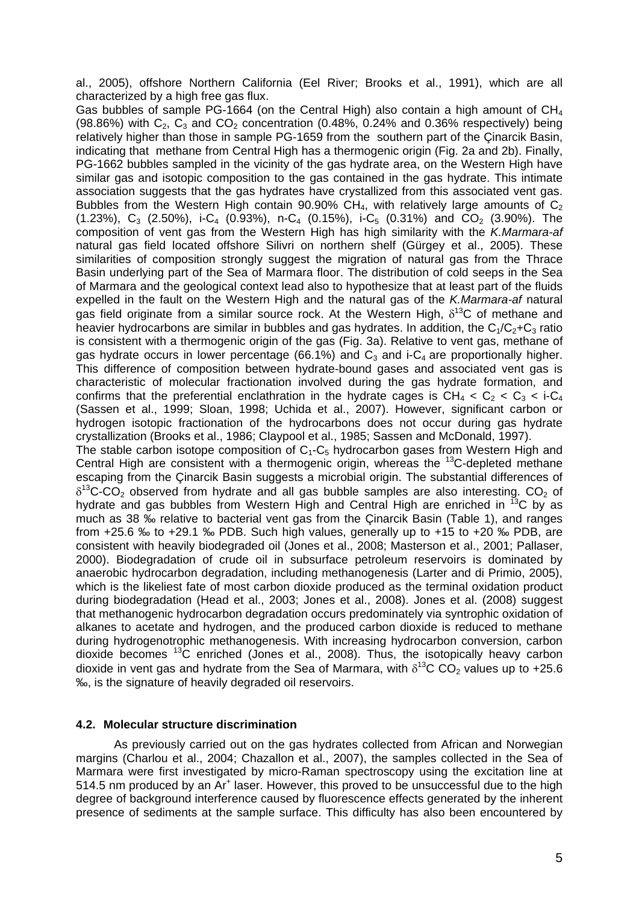al., 2005), offshore Northern California (Eel River; Brooks et al., 1991), which are all characterized by a high free gas flux.

Gas bubbles of sample PG-1664 (on the Central High) also contain a high amount of CH4 (98.86%) with  $C_2$ ,  $C_3$  and  $CO_2$  concentration (0.48%, 0.24% and 0.36% respectively) being relatively higher than those in sample PG-1659 from the southern part of the Çinarcik Basin, indicating that methane from Central High has a thermogenic origin (Fig. 2a and 2b). Finally, PG-1662 bubbles sampled in the vicinity of the gas hydrate area, on the Western High have similar gas and isotopic composition to the gas contained in the gas hydrate. This intimate association suggests that the gas hydrates have crystallized from this associated vent gas. Bubbles from the Western High contain 90.90% CH<sub>4</sub>, with relatively large amounts of  $C_2$  $(1.23\%)$ ,  $C_3$   $(2.50\%)$ , i-C<sub>4</sub>  $(0.93\%)$ , n-C<sub>4</sub>  $(0.15\%)$ , i-C<sub>5</sub>  $(0.31\%)$  and CO<sub>2</sub>  $(3.90\%)$ . The composition of vent gas from the Western High has high similarity with the *K.Marmara-af* natural gas field located offshore Silivri on northern shelf (Gürgey et al., 2005). These similarities of composition strongly suggest the migration of natural gas from the Thrace Basin underlying part of the Sea of Marmara floor. The distribution of cold seeps in the Sea of Marmara and the geological context lead also to hypothesize that at least part of the fluids expelled in the fault on the Western High and the natural gas of the *K.Marmara-af* natural gas field originate from a similar source rock. At the Western High,  $\delta^{13}$ C of methane and heavier hydrocarbons are similar in bubbles and gas hydrates. In addition, the  $C_1/C_2+C_3$  ratio is consistent with a thermogenic origin of the gas (Fig. 3a). Relative to vent gas, methane of gas hydrate occurs in lower percentage (66.1%) and  $C_3$  and i-C<sub>4</sub> are proportionally higher. This difference of composition between hydrate-bound gases and associated vent gas is characteristic of molecular fractionation involved during the gas hydrate formation, and confirms that the preferential enclathration in the hydrate cages is  $CH_4 < C_2 < C_3 < i-C_4$ (Sassen et al., 1999; Sloan, 1998; Uchida et al., 2007). However, significant carbon or hydrogen isotopic fractionation of the hydrocarbons does not occur during gas hydrate crystallization (Brooks et al., 1986; Claypool et al., 1985; Sassen and McDonald, 1997). The stable carbon isotope composition of  $C_1$ - $C_5$  hydrocarbon gases from Western High and Central High are consistent with a thermogenic origin, whereas the  ${}^{13}$ C-depleted methane escaping from the Çinarcik Basin suggests a microbial origin. The substantial differences of  $\delta^{13}$ C-CO<sub>2</sub> observed from hydrate and all gas bubble samples are also interesting. CO<sub>2</sub> of hydrate and gas bubbles from Western High and Central High are enriched in  $^{13}$ C by as much as 38 ‰ relative to bacterial vent gas from the Çinarcik Basin (Table 1), and ranges from +25.6 ‰ to +29.1 ‰ PDB. Such high values, generally up to +15 to +20 ‰ PDB, are consistent with heavily biodegraded oil (Jones et al., 2008; Masterson et al., 2001; Pallaser, 2000). Biodegradation of crude oil in subsurface petroleum reservoirs is dominated by anaerobic hydrocarbon degradation, including methanogenesis (Larter and di Primio, 2005), which is the likeliest fate of most carbon dioxide produced as the terminal oxidation product during biodegradation (Head et al., 2003; Jones et al., 2008). Jones et al. (2008) suggest that methanogenic hydrocarbon degradation occurs predominately via syntrophic oxidation of alkanes to acetate and hydrogen, and the produced carbon dioxide is reduced to methane during hydrogenotrophic methanogenesis. With increasing hydrocarbon conversion, carbon dioxide becomes  $^{13}$ C enriched (Jones et al., 2008). Thus, the isotopically heavy carbon dioxide in vent gas and hydrate from the Sea of Marmara, with  $\delta^{13}$ C CO<sub>2</sub> values up to +25.6 ‰, is the signature of heavily degraded oil reservoirs.

#### **4.2. Molecular structure discrimination**

 As previously carried out on the gas hydrates collected from African and Norwegian margins (Charlou et al., 2004; Chazallon et al., 2007), the samples collected in the Sea of Marmara were first investigated by micro-Raman spectroscopy using the excitation line at 514.5 nm produced by an Ar<sup>+</sup> laser. However, this proved to be unsuccessful due to the high degree of background interference caused by fluorescence effects generated by the inherent presence of sediments at the sample surface. This difficulty has also been encountered by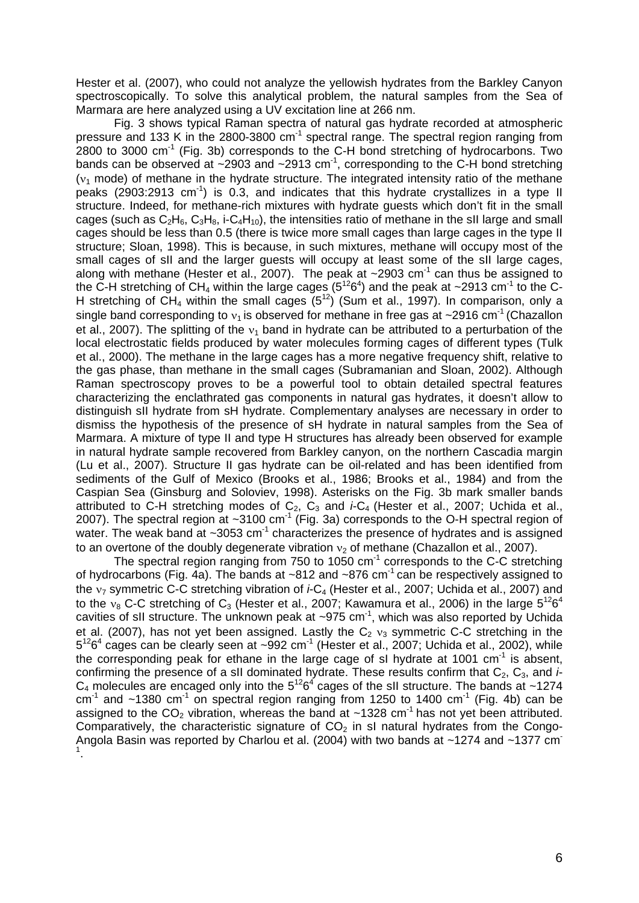Hester et al. (2007), who could not analyze the yellowish hydrates from the Barkley Canyon spectroscopically. To solve this analytical problem, the natural samples from the Sea of Marmara are here analyzed using a UV excitation line at 266 nm.

 Fig. 3 shows typical Raman spectra of natural gas hydrate recorded at atmospheric pressure and 133 K in the 2800-3800  $cm^{-1}$  spectral range. The spectral region ranging from  $2800$  to 3000 cm<sup>-1</sup> (Fig. 3b) corresponds to the C-H bond stretching of hydrocarbons. Two bands can be observed at  $\sim$ 2903 and  $\sim$ 2913 cm<sup>-1</sup>, corresponding to the C-H bond stretching  $(v_1 \text{ mode})$  of methane in the hydrate structure. The integrated intensity ratio of the methane peaks (2903:2913  $cm^{-1}$ ) is 0.3, and indicates that this hydrate crystallizes in a type II structure. Indeed, for methane-rich mixtures with hydrate guests which don't fit in the small cages (such as  $C_2H_6$ ,  $C_3H_8$ , i- $C_4H_{10}$ ), the intensities ratio of methane in the sII large and small cages should be less than 0.5 (there is twice more small cages than large cages in the type II structure; Sloan, 1998). This is because, in such mixtures, methane will occupy most of the small cages of sII and the larger guests will occupy at least some of the sII large cages, along with methane (Hester et al., 2007). The peak at  $\sim$ 2903 cm<sup>-1</sup> can thus be assigned to the C-H stretching of CH<sub>4</sub> within the large cages (5<sup>12</sup>6<sup>4</sup>) and the peak at ~2913 cm<sup>-1</sup> to the C-H stretching of  $CH_4$  within the small cages  $(5^{12})$  (Sum et al., 1997). In comparison, only a single band corresponding to  $v_1$  is observed for methane in free gas at ~2916 cm<sup>-1</sup> (Chazallon et al., 2007). The splitting of the  $v_1$  band in hydrate can be attributed to a perturbation of the local electrostatic fields produced by water molecules forming cages of different types (Tulk et al., 2000). The methane in the large cages has a more negative frequency shift, relative to the gas phase, than methane in the small cages (Subramanian and Sloan, 2002). Although Raman spectroscopy proves to be a powerful tool to obtain detailed spectral features characterizing the enclathrated gas components in natural gas hydrates, it doesn't allow to distinguish sII hydrate from sH hydrate. Complementary analyses are necessary in order to dismiss the hypothesis of the presence of sH hydrate in natural samples from the Sea of Marmara. A mixture of type II and type H structures has already been observed for example in natural hydrate sample recovered from Barkley canyon, on the northern Cascadia margin (Lu et al., 2007). Structure II gas hydrate can be oil-related and has been identified from sediments of the Gulf of Mexico (Brooks et al., 1986; Brooks et al., 1984) and from the Caspian Sea (Ginsburg and Soloviev, 1998). Asterisks on the Fig. 3b mark smaller bands attributed to C-H stretching modes of  $C_2$ ,  $C_3$  and *i-C<sub>4</sub>* (Hester et al., 2007; Uchida et al., 2007). The spectral region at  $\sim$ 3100 cm<sup>-1</sup> (Fig. 3a) corresponds to the O-H spectral region of water. The weak band at  $\sim$ 3053 cm<sup>-1</sup> characterizes the presence of hydrates and is assigned to an overtone of the doubly degenerate vibration  $v_2$  of methane (Chazallon et al., 2007).

The spectral region ranging from 750 to 1050 cm<sup>-1</sup> corresponds to the C-C stretching of hydrocarbons (Fig. 4a). The bands at  $\sim$ 812 and  $\sim$ 876 cm<sup>-1</sup> can be respectively assigned to the <sub>17</sub> symmetric C-C stretching vibration of *i-C<sub>4</sub>* (Hester et al., 2007; Uchida et al., 2007) and to the  $v_8$  C-C stretching of C<sub>3</sub> (Hester et al., 2007; Kawamura et al., 2006) in the large  $5^{12}6^4$ cavities of sII structure. The unknown peak at  $\sim 975$  cm<sup>-1</sup>, which was also reported by Uchida et al. (2007), has not yet been assigned. Lastly the  $C_2$   $v_3$  symmetric C-C stretching in the  $5^{12}6^4$  cages can be clearly seen at  $\sim 992$  cm<sup>-1</sup> (Hester et al., 2007; Uchida et al., 2002), while the corresponding peak for ethane in the large cage of sI hydrate at 1001 cm<sup>-1</sup> is absent, confirming the presence of a sII dominated hydrate. These results confirm that  $C_2$ ,  $C_3$ , and  $\dot{F}$  $C_4$  molecules are encaged only into the  $5^{12}6^4$  cages of the sII structure. The bands at ~1274  $cm^{-1}$  and  $\sim$ 1380 cm<sup>-1</sup> on spectral region ranging from 1250 to 1400 cm<sup>-1</sup> (Fig. 4b) can be assigned to the  $CO<sub>2</sub>$  vibration, whereas the band at ~1328 cm<sup>-1</sup> has not yet been attributed. Comparatively, the characteristic signature of  $CO<sub>2</sub>$  in sI natural hydrates from the Congo-Angola Basin was reported by Charlou et al. (2004) with two bands at ~1274 and ~1377 cm<sup>-</sup> 1 .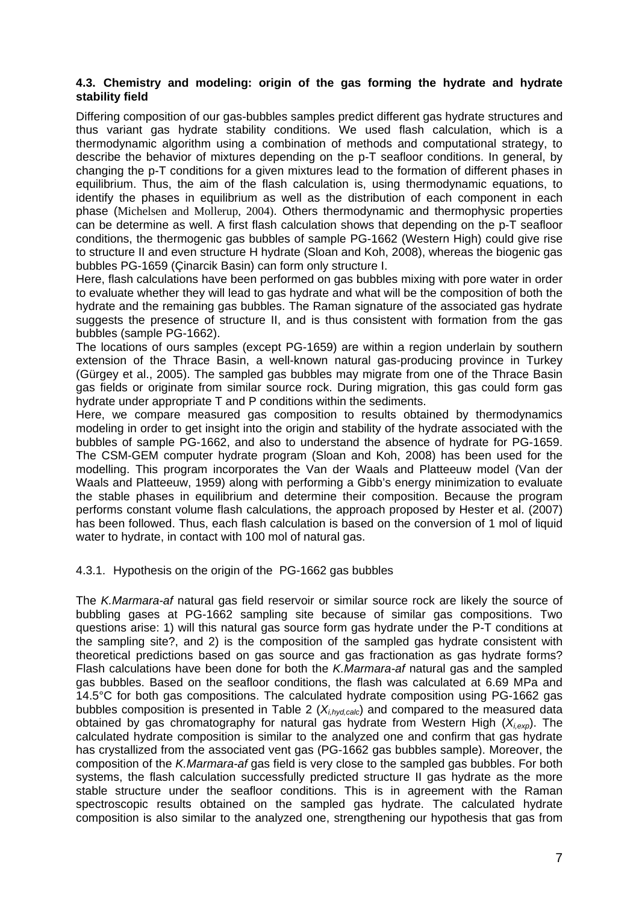### **4.3. Chemistry and modeling: origin of the gas forming the hydrate and hydrate stability field**

Differing composition of our gas-bubbles samples predict different gas hydrate structures and thus variant gas hydrate stability conditions. We used flash calculation, which is a thermodynamic algorithm using a combination of methods and computational strategy, to describe the behavior of mixtures depending on the p-T seafloor conditions. In general, by changing the p-T conditions for a given mixtures lead to the formation of different phases in equilibrium. Thus, the aim of the flash calculation is, using thermodynamic equations, to identify the phases in equilibrium as well as the distribution of each component in each phase (Michelsen and Mollerup, 2004). Others thermodynamic and thermophysic properties can be determine as well. A first flash calculation shows that depending on the p-T seafloor conditions, the thermogenic gas bubbles of sample PG-1662 (Western High) could give rise to structure II and even structure H hydrate (Sloan and Koh, 2008), whereas the biogenic gas bubbles PG-1659 (Çinarcik Basin) can form only structure I.

Here, flash calculations have been performed on gas bubbles mixing with pore water in order to evaluate whether they will lead to gas hydrate and what will be the composition of both the hydrate and the remaining gas bubbles. The Raman signature of the associated gas hydrate suggests the presence of structure II, and is thus consistent with formation from the gas bubbles (sample PG-1662).

The locations of ours samples (except PG-1659) are within a region underlain by southern extension of the Thrace Basin, a well-known natural gas-producing province in Turkey (Gürgey et al., 2005). The sampled gas bubbles may migrate from one of the Thrace Basin gas fields or originate from similar source rock. During migration, this gas could form gas hydrate under appropriate T and P conditions within the sediments.

Here, we compare measured gas composition to results obtained by thermodynamics modeling in order to get insight into the origin and stability of the hydrate associated with the bubbles of sample PG-1662, and also to understand the absence of hydrate for PG-1659. The CSM-GEM computer hydrate program (Sloan and Koh, 2008) has been used for the modelling. This program incorporates the Van der Waals and Platteeuw model (Van der Waals and Platteeuw, 1959) along with performing a Gibb's energy minimization to evaluate the stable phases in equilibrium and determine their composition. Because the program performs constant volume flash calculations, the approach proposed by Hester et al. (2007) has been followed. Thus, each flash calculation is based on the conversion of 1 mol of liquid water to hydrate, in contact with 100 mol of natural gas.

### 4.3.1. Hypothesis on the origin of the PG-1662 gas bubbles

The *K.Marmara-af* natural gas field reservoir or similar source rock are likely the source of bubbling gases at PG-1662 sampling site because of similar gas compositions. Two questions arise: 1) will this natural gas source form gas hydrate under the P-T conditions at the sampling site?, and 2) is the composition of the sampled gas hydrate consistent with theoretical predictions based on gas source and gas fractionation as gas hydrate forms? Flash calculations have been done for both the *K.Marmara-af* natural gas and the sampled gas bubbles. Based on the seafloor conditions, the flash was calculated at 6.69 MPa and 14.5°C for both gas compositions. The calculated hydrate composition using PG-1662 gas bubbles composition is presented in Table 2 (*Xi,hyd,calc*) and compared to the measured data obtained by gas chromatography for natural gas hydrate from Western High (*Xi,exp*). The calculated hydrate composition is similar to the analyzed one and confirm that gas hydrate has crystallized from the associated vent gas (PG-1662 gas bubbles sample). Moreover, the composition of the *K.Marmara-af* gas field is very close to the sampled gas bubbles. For both systems, the flash calculation successfully predicted structure II gas hydrate as the more stable structure under the seafloor conditions. This is in agreement with the Raman spectroscopic results obtained on the sampled gas hydrate. The calculated hydrate composition is also similar to the analyzed one, strengthening our hypothesis that gas from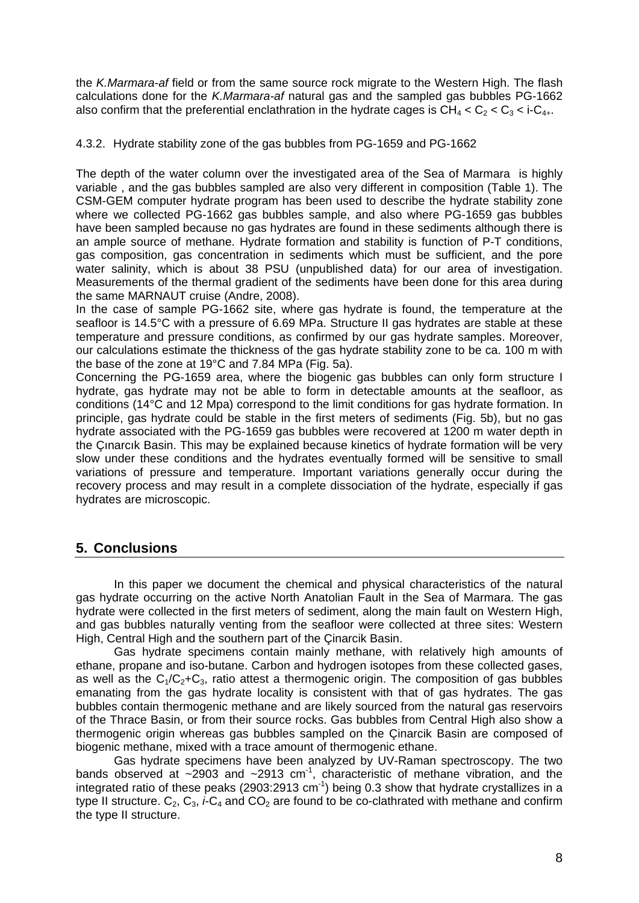the *K.Marmara-af* field or from the same source rock migrate to the Western High. The flash calculations done for the *K.Marmara-af* natural gas and the sampled gas bubbles PG-1662 also confirm that the preferential enclathration in the hydrate cages is  $CH_4 < C_2 < C_3 < i-C_{4+}$ .

### 4.3.2. Hydrate stability zone of the gas bubbles from PG-1659 and PG-1662

The depth of the water column over the investigated area of the Sea of Marmara is highly variable , and the gas bubbles sampled are also very different in composition (Table 1). The CSM-GEM computer hydrate program has been used to describe the hydrate stability zone where we collected PG-1662 gas bubbles sample, and also where PG-1659 gas bubbles have been sampled because no gas hydrates are found in these sediments although there is an ample source of methane. Hydrate formation and stability is function of P-T conditions, gas composition, gas concentration in sediments which must be sufficient, and the pore water salinity, which is about 38 PSU (unpublished data) for our area of investigation. Measurements of the thermal gradient of the sediments have been done for this area during the same MARNAUT cruise (Andre, 2008).

In the case of sample PG-1662 site, where gas hydrate is found, the temperature at the seafloor is 14.5°C with a pressure of 6.69 MPa. Structure II gas hydrates are stable at these temperature and pressure conditions, as confirmed by our gas hydrate samples. Moreover, our calculations estimate the thickness of the gas hydrate stability zone to be ca. 100 m with the base of the zone at 19°C and 7.84 MPa (Fig. 5a).

Concerning the PG-1659 area, where the biogenic gas bubbles can only form structure I hydrate, gas hydrate may not be able to form in detectable amounts at the seafloor, as conditions (14°C and 12 Mpa) correspond to the limit conditions for gas hydrate formation. In principle, gas hydrate could be stable in the first meters of sediments (Fig. 5b), but no gas hydrate associated with the PG-1659 gas bubbles were recovered at 1200 m water depth in the Çınarcık Basin. This may be explained because kinetics of hydrate formation will be very slow under these conditions and the hydrates eventually formed will be sensitive to small variations of pressure and temperature. Important variations generally occur during the recovery process and may result in a complete dissociation of the hydrate, especially if gas hydrates are microscopic.

### **5. Conclusions**

 In this paper we document the chemical and physical characteristics of the natural gas hydrate occurring on the active North Anatolian Fault in the Sea of Marmara. The gas hydrate were collected in the first meters of sediment, along the main fault on Western High, and gas bubbles naturally venting from the seafloor were collected at three sites: Western High, Central High and the southern part of the Çinarcik Basin.

 Gas hydrate specimens contain mainly methane, with relatively high amounts of ethane, propane and iso-butane. Carbon and hydrogen isotopes from these collected gases, as well as the  $C_1/C_2+C_3$ , ratio attest a thermogenic origin. The composition of gas bubbles emanating from the gas hydrate locality is consistent with that of gas hydrates. The gas bubbles contain thermogenic methane and are likely sourced from the natural gas reservoirs of the Thrace Basin, or from their source rocks. Gas bubbles from Central High also show a thermogenic origin whereas gas bubbles sampled on the Çinarcik Basin are composed of biogenic methane, mixed with a trace amount of thermogenic ethane.

 Gas hydrate specimens have been analyzed by UV-Raman spectroscopy. The two bands observed at  $\sim$ 2903 and  $\sim$ 2913 cm<sup>-1</sup>, characteristic of methane vibration, and the integrated ratio of these peaks (2903:2913 cm<sup>-1</sup>) being 0.3 show that hydrate crystallizes in a type II structure.  $C_2$ ,  $C_3$ , *i*-C<sub>4</sub> and  $CO_2$  are found to be co-clathrated with methane and confirm the type II structure.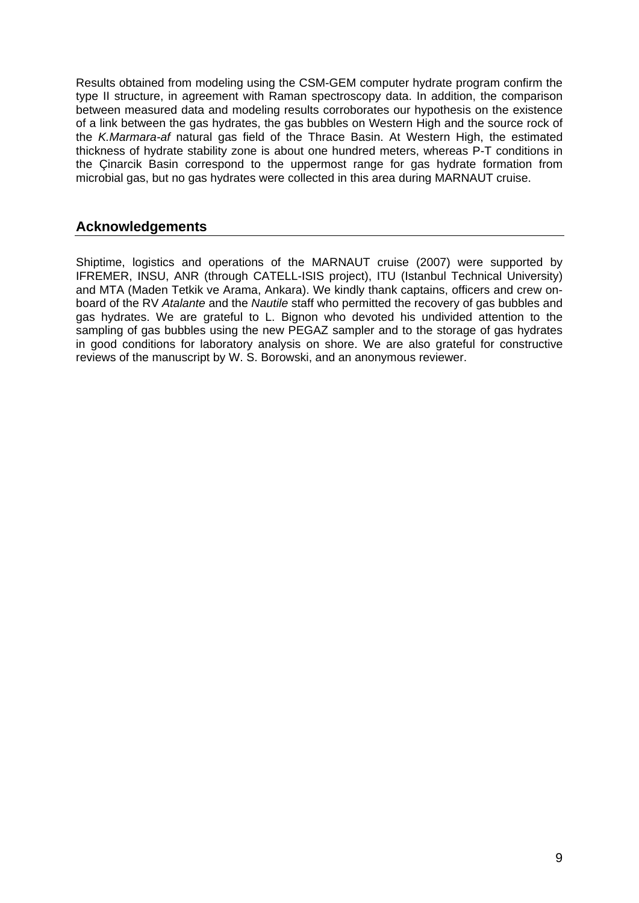Results obtained from modeling using the CSM-GEM computer hydrate program confirm the type II structure, in agreement with Raman spectroscopy data. In addition, the comparison between measured data and modeling results corroborates our hypothesis on the existence of a link between the gas hydrates, the gas bubbles on Western High and the source rock of the *K.Marmara-af* natural gas field of the Thrace Basin. At Western High, the estimated thickness of hydrate stability zone is about one hundred meters, whereas P-T conditions in the Çinarcik Basin correspond to the uppermost range for gas hydrate formation from microbial gas, but no gas hydrates were collected in this area during MARNAUT cruise.

# **Acknowledgements**

Shiptime, logistics and operations of the MARNAUT cruise (2007) were supported by IFREMER, INSU, ANR (through CATELL-ISIS project), ITU (Istanbul Technical University) and MTA (Maden Tetkik ve Arama, Ankara). We kindly thank captains, officers and crew onboard of the RV *Atalante* and the *Nautile* staff who permitted the recovery of gas bubbles and gas hydrates. We are grateful to L. Bignon who devoted his undivided attention to the sampling of gas bubbles using the new PEGAZ sampler and to the storage of gas hydrates in good conditions for laboratory analysis on shore. We are also grateful for constructive reviews of the manuscript by W. S. Borowski, and an anonymous reviewer.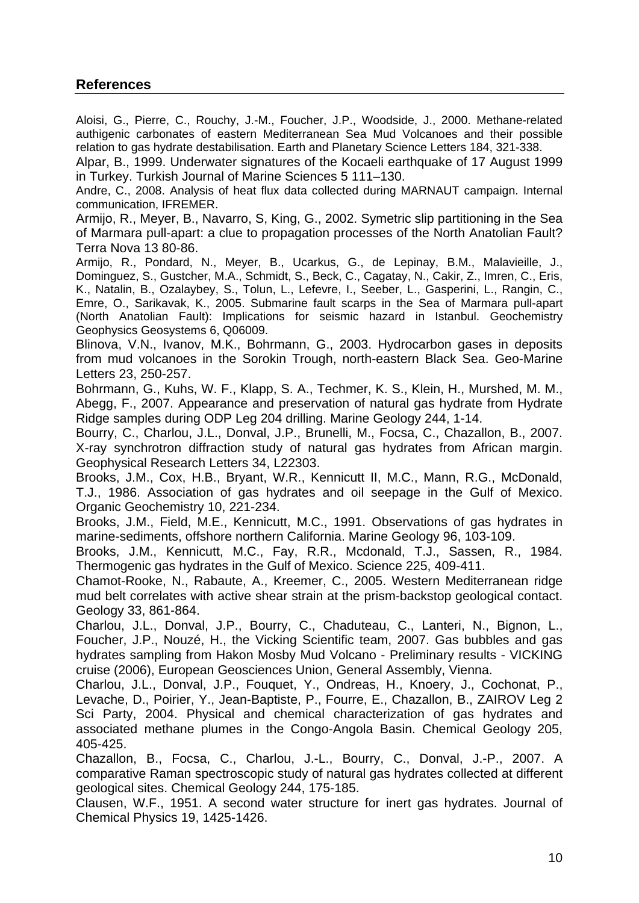# **References**

Aloisi, G., Pierre, C., Rouchy, J.-M., Foucher, J.P., Woodside, J., 2000. Methane-related authigenic carbonates of eastern Mediterranean Sea Mud Volcanoes and their possible relation to gas hydrate destabilisation. Earth and Planetary Science Letters 184, 321-338.

Alpar, B., 1999. Underwater signatures of the Kocaeli earthquake of 17 August 1999 in Turkey. Turkish Journal of Marine Sciences 5 111–130.

Andre, C., 2008. Analysis of heat flux data collected during MARNAUT campaign. Internal communication, IFREMER.

Armijo, R., Meyer, B., Navarro, S, King, G., 2002. Symetric slip partitioning in the Sea of Marmara pull-apart: a clue to propagation processes of the North Anatolian Fault? Terra Nova 13 80-86.

Armijo, R., Pondard, N., Meyer, B., Ucarkus, G., de Lepinay, B.M., Malavieille, J., Dominguez, S., Gustcher, M.A., Schmidt, S., Beck, C., Cagatay, N., Cakir, Z., Imren, C., Eris, K., Natalin, B., Ozalaybey, S., Tolun, L., Lefevre, I., Seeber, L., Gasperini, L., Rangin, C., Emre, O., Sarikavak, K., 2005. Submarine fault scarps in the Sea of Marmara pull-apart (North Anatolian Fault): Implications for seismic hazard in Istanbul. Geochemistry Geophysics Geosystems 6, Q06009.

Blinova, V.N., Ivanov, M.K., Bohrmann, G., 2003. Hydrocarbon gases in deposits from mud volcanoes in the Sorokin Trough, north-eastern Black Sea. Geo-Marine Letters 23, 250-257.

Bohrmann, G., Kuhs, W. F., Klapp, S. A., Techmer, K. S., Klein, H., Murshed, M. M., Abegg, F., 2007. Appearance and preservation of natural gas hydrate from Hydrate Ridge samples during ODP Leg 204 drilling. Marine Geology 244, 1-14.

Bourry, C., Charlou, J.L., Donval, J.P., Brunelli, M., Focsa, C., Chazallon, B., 2007. X-ray synchrotron diffraction study of natural gas hydrates from African margin. Geophysical Research Letters 34, L22303.

Brooks, J.M., Cox, H.B., Bryant, W.R., Kennicutt II, M.C., Mann, R.G., McDonald, T.J., 1986. Association of gas hydrates and oil seepage in the Gulf of Mexico. Organic Geochemistry 10, 221-234.

Brooks, J.M., Field, M.E., Kennicutt, M.C., 1991. Observations of gas hydrates in marine-sediments, offshore northern California. Marine Geology 96, 103-109.

Brooks, J.M., Kennicutt, M.C., Fay, R.R., Mcdonald, T.J., Sassen, R., 1984. Thermogenic gas hydrates in the Gulf of Mexico. Science 225, 409-411.

Chamot-Rooke, N., Rabaute, A., Kreemer, C., 2005. Western Mediterranean ridge mud belt correlates with active shear strain at the prism-backstop geological contact. Geology 33, 861-864.

Charlou, J.L., Donval, J.P., Bourry, C., Chaduteau, C., Lanteri, N., Bignon, L., Foucher, J.P., Nouzé, H., the Vicking Scientific team, 2007. Gas bubbles and gas hydrates sampling from Hakon Mosby Mud Volcano - Preliminary results - VICKING cruise (2006), European Geosciences Union, General Assembly, Vienna.

Charlou, J.L., Donval, J.P., Fouquet, Y., Ondreas, H., Knoery, J., Cochonat, P., Levache, D., Poirier, Y., Jean-Baptiste, P., Fourre, E., Chazallon, B., ZAIROV Leg 2 Sci Party, 2004. Physical and chemical characterization of gas hydrates and associated methane plumes in the Congo-Angola Basin. Chemical Geology 205, 405-425.

Chazallon, B., Focsa, C., Charlou, J.-L., Bourry, C., Donval, J.-P., 2007. A comparative Raman spectroscopic study of natural gas hydrates collected at different geological sites. Chemical Geology 244, 175-185.

Clausen, W.F., 1951. A second water structure for inert gas hydrates. Journal of Chemical Physics 19, 1425-1426.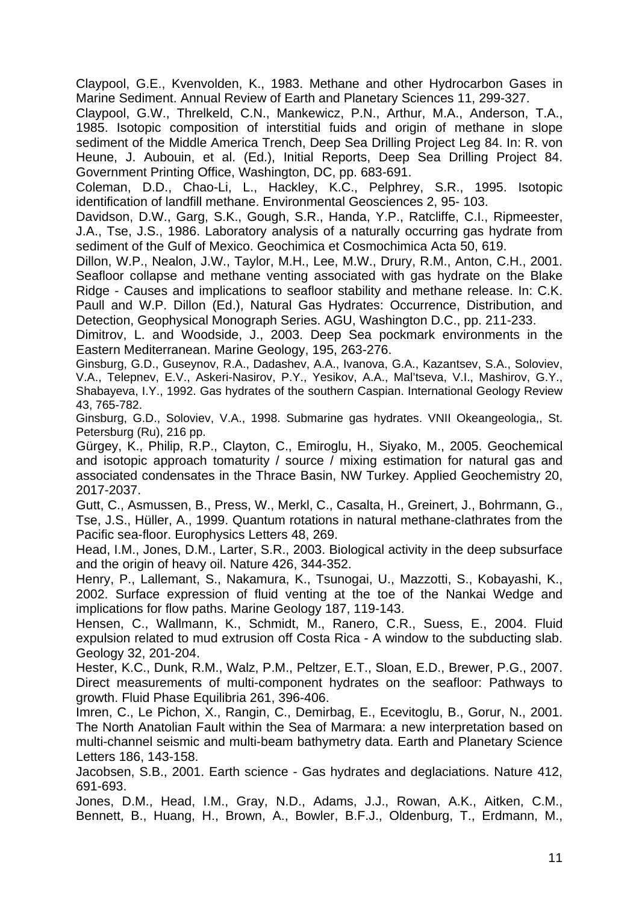Claypool, G.E., Kvenvolden, K., 1983. Methane and other Hydrocarbon Gases in Marine Sediment. Annual Review of Earth and Planetary Sciences 11, 299-327.

Claypool, G.W., Threlkeld, C.N., Mankewicz, P.N., Arthur, M.A., Anderson, T.A., 1985. Isotopic composition of interstitial fuids and origin of methane in slope sediment of the Middle America Trench, Deep Sea Drilling Project Leg 84. In: R. von Heune, J. Aubouin, et al. (Ed.), Initial Reports, Deep Sea Drilling Project 84. Government Printing Office, Washington, DC, pp. 683-691.

Coleman, D.D., Chao-Li, L., Hackley, K.C., Pelphrey, S.R., 1995. Isotopic identification of landfill methane. Environmental Geosciences 2, 95- 103.

Davidson, D.W., Garg, S.K., Gough, S.R., Handa, Y.P., Ratcliffe, C.I., Ripmeester, J.A., Tse, J.S., 1986. Laboratory analysis of a naturally occurring gas hydrate from sediment of the Gulf of Mexico. Geochimica et Cosmochimica Acta 50, 619.

Dillon, W.P., Nealon, J.W., Taylor, M.H., Lee, M.W., Drury, R.M., Anton, C.H., 2001. Seafloor collapse and methane venting associated with gas hydrate on the Blake Ridge - Causes and implications to seafloor stability and methane release. In: C.K. Paull and W.P. Dillon (Ed.), Natural Gas Hydrates: Occurrence, Distribution, and Detection, Geophysical Monograph Series. AGU, Washington D.C., pp. 211-233.

Dimitrov, L. and Woodside, J., 2003. Deep Sea pockmark environments in the Eastern Mediterranean. Marine Geology, 195, 263-276.

Ginsburg, G.D., Guseynov, R.A., Dadashev, A.A., Ivanova, G.A., Kazantsev, S.A., Soloviev, V.A., Telepnev, E.V., Askeri-Nasirov, P.Y., Yesikov, A.A., Mal'tseva, V.I., Mashirov, G.Y., Shabayeva, I.Y., 1992. Gas hydrates of the southern Caspian. International Geology Review 43, 765-782.

Ginsburg, G.D., Soloviev, V.A., 1998. Submarine gas hydrates. VNII Okeangeologia,, St. Petersburg (Ru), 216 pp.

Gürgey, K., Philip, R.P., Clayton, C., Emiroglu, H., Siyako, M., 2005. Geochemical and isotopic approach tomaturity / source / mixing estimation for natural gas and associated condensates in the Thrace Basin, NW Turkey. Applied Geochemistry 20, 2017-2037.

Gutt, C., Asmussen, B., Press, W., Merkl, C., Casalta, H., Greinert, J., Bohrmann, G., Tse, J.S., Hüller, A., 1999. Quantum rotations in natural methane-clathrates from the Pacific sea-floor. Europhysics Letters 48, 269.

Head, I.M., Jones, D.M., Larter, S.R., 2003. Biological activity in the deep subsurface and the origin of heavy oil. Nature 426, 344-352.

Henry, P., Lallemant, S., Nakamura, K., Tsunogai, U., Mazzotti, S., Kobayashi, K., 2002. Surface expression of fluid venting at the toe of the Nankai Wedge and implications for flow paths. Marine Geology 187, 119-143.

Hensen, C., Wallmann, K., Schmidt, M., Ranero, C.R., Suess, E., 2004. Fluid expulsion related to mud extrusion off Costa Rica - A window to the subducting slab. Geology 32, 201-204.

Hester, K.C., Dunk, R.M., Walz, P.M., Peltzer, E.T., Sloan, E.D., Brewer, P.G., 2007. Direct measurements of multi-component hydrates on the seafloor: Pathways to growth. Fluid Phase Equilibria 261, 396-406.

Imren, C., Le Pichon, X., Rangin, C., Demirbag, E., Ecevitoglu, B., Gorur, N., 2001. The North Anatolian Fault within the Sea of Marmara: a new interpretation based on multi-channel seismic and multi-beam bathymetry data. Earth and Planetary Science Letters 186, 143-158.

Jacobsen, S.B., 2001. Earth science - Gas hydrates and deglaciations. Nature 412, 691-693.

Jones, D.M., Head, I.M., Gray, N.D., Adams, J.J., Rowan, A.K., Aitken, C.M., Bennett, B., Huang, H., Brown, A., Bowler, B.F.J., Oldenburg, T., Erdmann, M.,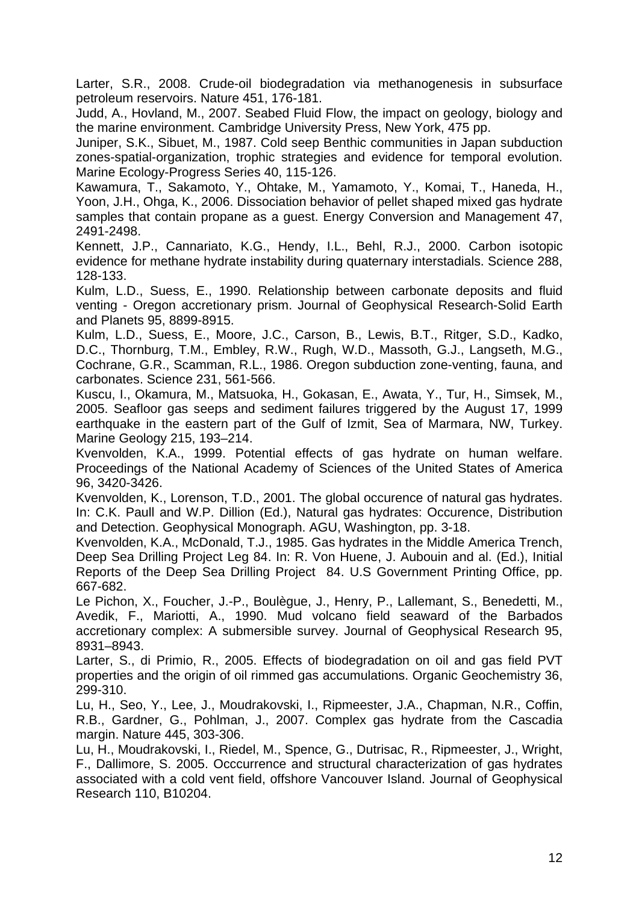Larter, S.R., 2008. Crude-oil biodegradation via methanogenesis in subsurface petroleum reservoirs. Nature 451, 176-181.

Judd, A., Hovland, M., 2007. Seabed Fluid Flow, the impact on geology, biology and the marine environment. Cambridge University Press, New York, 475 pp.

Juniper, S.K., Sibuet, M., 1987. Cold seep Benthic communities in Japan subduction zones-spatial-organization, trophic strategies and evidence for temporal evolution. Marine Ecology-Progress Series 40, 115-126.

Kawamura, T., Sakamoto, Y., Ohtake, M., Yamamoto, Y., Komai, T., Haneda, H., Yoon, J.H., Ohga, K., 2006. Dissociation behavior of pellet shaped mixed gas hydrate samples that contain propane as a guest. Energy Conversion and Management 47, 2491-2498.

Kennett, J.P., Cannariato, K.G., Hendy, I.L., Behl, R.J., 2000. Carbon isotopic evidence for methane hydrate instability during quaternary interstadials. Science 288, 128-133.

Kulm, L.D., Suess, E., 1990. Relationship between carbonate deposits and fluid venting - Oregon accretionary prism. Journal of Geophysical Research-Solid Earth and Planets 95, 8899-8915.

Kulm, L.D., Suess, E., Moore, J.C., Carson, B., Lewis, B.T., Ritger, S.D., Kadko, D.C., Thornburg, T.M., Embley, R.W., Rugh, W.D., Massoth, G.J., Langseth, M.G., Cochrane, G.R., Scamman, R.L., 1986. Oregon subduction zone-venting, fauna, and carbonates. Science 231, 561-566.

Kuscu, I., Okamura, M., Matsuoka, H., Gokasan, E., Awata, Y., Tur, H., Simsek, M., 2005. Seafloor gas seeps and sediment failures triggered by the August 17, 1999 earthquake in the eastern part of the Gulf of Izmit, Sea of Marmara, NW, Turkey. Marine Geology 215, 193–214.

Kvenvolden, K.A., 1999. Potential effects of gas hydrate on human welfare. Proceedings of the National Academy of Sciences of the United States of America 96, 3420-3426.

Kvenvolden, K., Lorenson, T.D., 2001. The global occurence of natural gas hydrates. In: C.K. Paull and W.P. Dillion (Ed.), Natural gas hydrates: Occurence, Distribution and Detection. Geophysical Monograph. AGU, Washington, pp. 3-18.

Kvenvolden, K.A., McDonald, T.J., 1985. Gas hydrates in the Middle America Trench, Deep Sea Drilling Project Leg 84. In: R. Von Huene, J. Aubouin and al. (Ed.), Initial Reports of the Deep Sea Drilling Project 84. U.S Government Printing Office, pp. 667-682.

Le Pichon, X., Foucher, J.-P., Boulègue, J., Henry, P., Lallemant, S., Benedetti, M., Avedik, F., Mariotti, A., 1990. Mud volcano field seaward of the Barbados accretionary complex: A submersible survey. Journal of Geophysical Research 95, 8931–8943.

Larter, S., di Primio, R., 2005. Effects of biodegradation on oil and gas field PVT properties and the origin of oil rimmed gas accumulations. Organic Geochemistry 36, 299-310.

Lu, H., Seo, Y., Lee, J., Moudrakovski, I., Ripmeester, J.A., Chapman, N.R., Coffin, R.B., Gardner, G., Pohlman, J., 2007. Complex gas hydrate from the Cascadia margin. Nature 445, 303-306.

Lu, H., Moudrakovski, I., Riedel, M., Spence, G., Dutrisac, R., Ripmeester, J., Wright, F., Dallimore, S. 2005. Occcurrence and structural characterization of gas hydrates associated with a cold vent field, offshore Vancouver Island. Journal of Geophysical Research 110, B10204.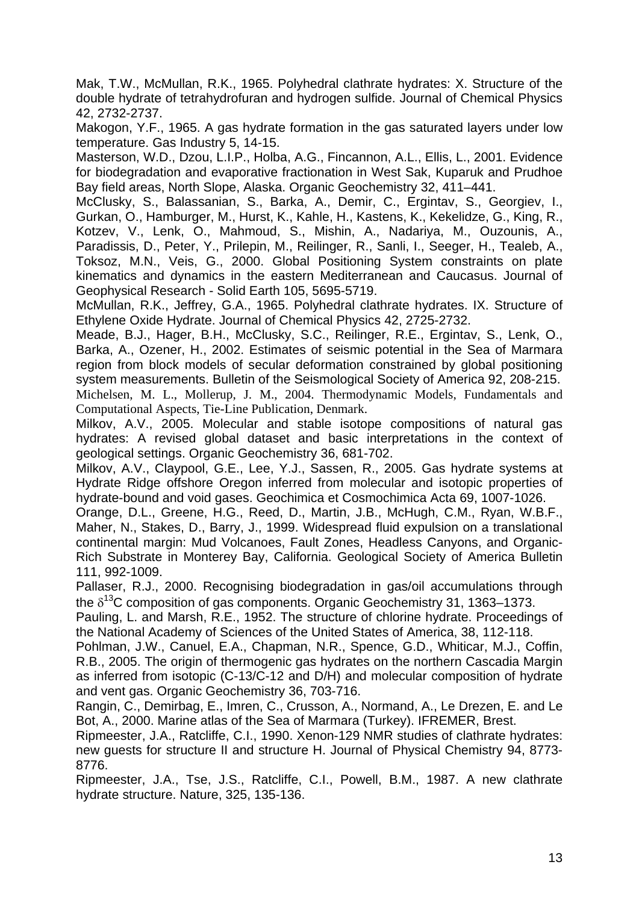Mak, T.W., McMullan, R.K., 1965. Polyhedral clathrate hydrates: X. Structure of the double hydrate of tetrahydrofuran and hydrogen sulfide. Journal of Chemical Physics 42, 2732-2737.

Makogon, Y.F., 1965. A gas hydrate formation in the gas saturated layers under low temperature. Gas Industry 5, 14-15.

Masterson, W.D., Dzou, L.I.P., Holba, A.G., Fincannon, A.L., Ellis, L., 2001. Evidence for biodegradation and evaporative fractionation in West Sak, Kuparuk and Prudhoe Bay field areas, North Slope, Alaska. Organic Geochemistry 32, 411–441.

McClusky, S., Balassanian, S., Barka, A., Demir, C., Ergintav, S., Georgiev, I., Gurkan, O., Hamburger, M., Hurst, K., Kahle, H., Kastens, K., Kekelidze, G., King, R., Kotzev, V., Lenk, O., Mahmoud, S., Mishin, A., Nadariya, M., Ouzounis, A., Paradissis, D., Peter, Y., Prilepin, M., Reilinger, R., Sanli, I., Seeger, H., Tealeb, A., Toksoz, M.N., Veis, G., 2000. Global Positioning System constraints on plate kinematics and dynamics in the eastern Mediterranean and Caucasus. Journal of Geophysical Research - Solid Earth 105, 5695-5719.

McMullan, R.K., Jeffrey, G.A., 1965. Polyhedral clathrate hydrates. IX. Structure of Ethylene Oxide Hydrate. Journal of Chemical Physics 42, 2725-2732.

Meade, B.J., Hager, B.H., McClusky, S.C., Reilinger, R.E., Ergintav, S., Lenk, O., Barka, A., Ozener, H., 2002. Estimates of seismic potential in the Sea of Marmara region from block models of secular deformation constrained by global positioning system measurements. Bulletin of the Seismological Society of America 92, 208-215.

Michelsen, M. L., Mollerup, J. M., 2004. Thermodynamic Models, Fundamentals and Computational Aspects, Tie-Line Publication, Denmark.

Milkov, A.V., 2005. Molecular and stable isotope compositions of natural gas hydrates: A revised global dataset and basic interpretations in the context of geological settings. Organic Geochemistry 36, 681-702.

Milkov, A.V., Claypool, G.E., Lee, Y.J., Sassen, R., 2005. Gas hydrate systems at Hydrate Ridge offshore Oregon inferred from molecular and isotopic properties of hydrate-bound and void gases. Geochimica et Cosmochimica Acta 69, 1007-1026.

Orange, D.L., Greene, H.G., Reed, D., Martin, J.B., McHugh, C.M., Ryan, W.B.F., Maher, N., Stakes, D., Barry, J., 1999. Widespread fluid expulsion on a translational continental margin: Mud Volcanoes, Fault Zones, Headless Canyons, and Organic-Rich Substrate in Monterey Bay, California. Geological Society of America Bulletin 111, 992-1009.

Pallaser, R.J., 2000. Recognising biodegradation in gas/oil accumulations through the  $\delta^{13}$ C composition of gas components. Organic Geochemistry 31, 1363–1373.

Pauling, L. and Marsh, R.E., 1952. The structure of chlorine hydrate. Proceedings of the National Academy of Sciences of the United States of America, 38, 112-118.

Pohlman, J.W., Canuel, E.A., Chapman, N.R., Spence, G.D., Whiticar, M.J., Coffin, R.B., 2005. The origin of thermogenic gas hydrates on the northern Cascadia Margin as inferred from isotopic (C-13/C-12 and D/H) and molecular composition of hydrate and vent gas. Organic Geochemistry 36, 703-716.

Rangin, C., Demirbag, E., Imren, C., Crusson, A., Normand, A., Le Drezen, E. and Le Bot, A., 2000. Marine atlas of the Sea of Marmara (Turkey). IFREMER, Brest.

Ripmeester, J.A., Ratcliffe, C.I., 1990. Xenon-129 NMR studies of clathrate hydrates: new guests for structure II and structure H. Journal of Physical Chemistry 94, 8773- 8776.

Ripmeester, J.A., Tse, J.S., Ratcliffe, C.I., Powell, B.M., 1987. A new clathrate hydrate structure. Nature, 325, 135-136.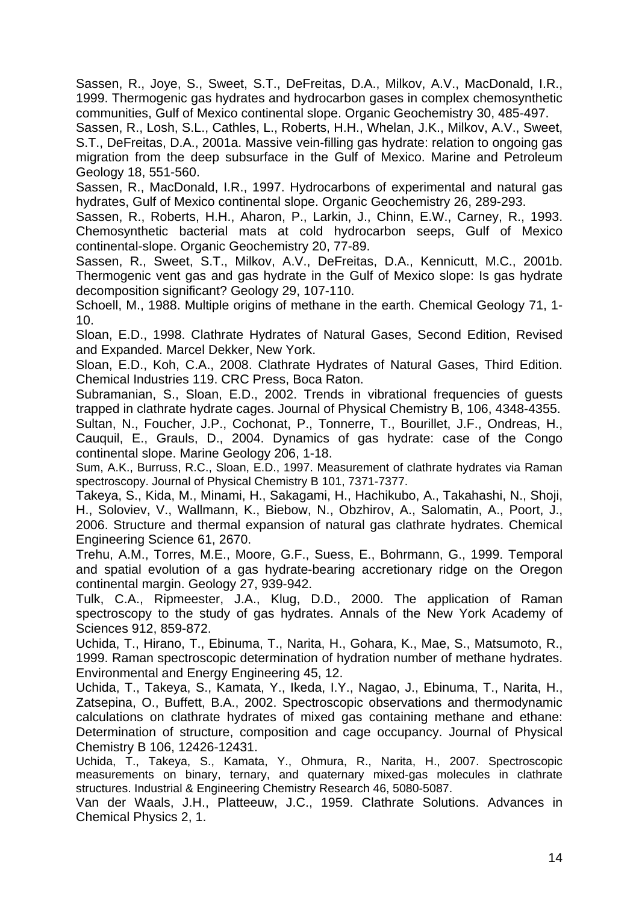Sassen, R., Joye, S., Sweet, S.T., DeFreitas, D.A., Milkov, A.V., MacDonald, I.R., 1999. Thermogenic gas hydrates and hydrocarbon gases in complex chemosynthetic communities, Gulf of Mexico continental slope. Organic Geochemistry 30, 485-497.

Sassen, R., Losh, S.L., Cathles, L., Roberts, H.H., Whelan, J.K., Milkov, A.V., Sweet, S.T., DeFreitas, D.A., 2001a. Massive vein-filling gas hydrate: relation to ongoing gas migration from the deep subsurface in the Gulf of Mexico. Marine and Petroleum Geology 18, 551-560.

Sassen, R., MacDonald, I.R., 1997. Hydrocarbons of experimental and natural gas hydrates, Gulf of Mexico continental slope. Organic Geochemistry 26, 289-293.

Sassen, R., Roberts, H.H., Aharon, P., Larkin, J., Chinn, E.W., Carney, R., 1993. Chemosynthetic bacterial mats at cold hydrocarbon seeps, Gulf of Mexico continental-slope. Organic Geochemistry 20, 77-89.

Sassen, R., Sweet, S.T., Milkov, A.V., DeFreitas, D.A., Kennicutt, M.C., 2001b. Thermogenic vent gas and gas hydrate in the Gulf of Mexico slope: Is gas hydrate decomposition significant? Geology 29, 107-110.

Schoell, M., 1988. Multiple origins of methane in the earth. Chemical Geology 71, 1- 10.

Sloan, E.D., 1998. Clathrate Hydrates of Natural Gases, Second Edition, Revised and Expanded. Marcel Dekker, New York.

Sloan, E.D., Koh, C.A., 2008. Clathrate Hydrates of Natural Gases, Third Edition. Chemical Industries 119. CRC Press, Boca Raton.

Subramanian, S., Sloan, E.D., 2002. Trends in vibrational frequencies of guests trapped in clathrate hydrate cages. Journal of Physical Chemistry B, 106, 4348-4355.

Sultan, N., Foucher, J.P., Cochonat, P., Tonnerre, T., Bourillet, J.F., Ondreas, H., Cauquil, E., Grauls, D., 2004. Dynamics of gas hydrate: case of the Congo continental slope. Marine Geology 206, 1-18.

Sum, A.K., Burruss, R.C., Sloan, E.D., 1997. Measurement of clathrate hydrates via Raman spectroscopy. Journal of Physical Chemistry B 101, 7371-7377.

Takeya, S., Kida, M., Minami, H., Sakagami, H., Hachikubo, A., Takahashi, N., Shoji, H., Soloviev, V., Wallmann, K., Biebow, N., Obzhirov, A., Salomatin, A., Poort, J., 2006. Structure and thermal expansion of natural gas clathrate hydrates. Chemical Engineering Science 61, 2670.

Trehu, A.M., Torres, M.E., Moore, G.F., Suess, E., Bohrmann, G., 1999. Temporal and spatial evolution of a gas hydrate-bearing accretionary ridge on the Oregon continental margin. Geology 27, 939-942.

Tulk, C.A., Ripmeester, J.A., Klug, D.D., 2000. The application of Raman spectroscopy to the study of gas hydrates. Annals of the New York Academy of Sciences 912, 859-872.

Uchida, T., Hirano, T., Ebinuma, T., Narita, H., Gohara, K., Mae, S., Matsumoto, R., 1999. Raman spectroscopic determination of hydration number of methane hydrates. Environmental and Energy Engineering 45, 12.

Uchida, T., Takeya, S., Kamata, Y., Ikeda, I.Y., Nagao, J., Ebinuma, T., Narita, H., Zatsepina, O., Buffett, B.A., 2002. Spectroscopic observations and thermodynamic calculations on clathrate hydrates of mixed gas containing methane and ethane: Determination of structure, composition and cage occupancy. Journal of Physical Chemistry B 106, 12426-12431.

Uchida, T., Takeya, S., Kamata, Y., Ohmura, R., Narita, H., 2007. Spectroscopic measurements on binary, ternary, and quaternary mixed-gas molecules in clathrate structures. Industrial & Engineering Chemistry Research 46, 5080-5087.

Van der Waals, J.H., Platteeuw, J.C., 1959. Clathrate Solutions. Advances in Chemical Physics 2, 1.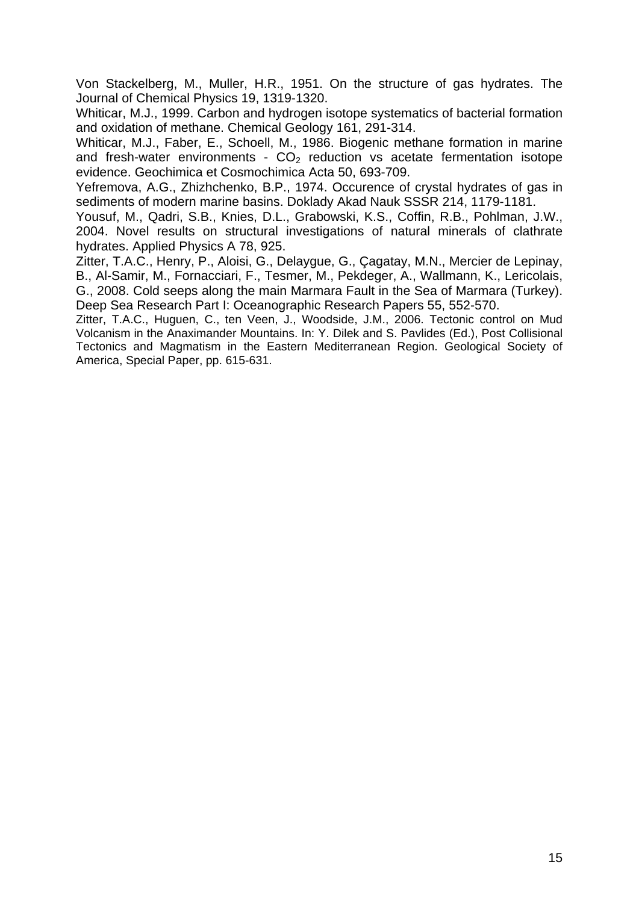Von Stackelberg, M., Muller, H.R., 1951. On the structure of gas hydrates. The Journal of Chemical Physics 19, 1319-1320.

Whiticar, M.J., 1999. Carbon and hydrogen isotope systematics of bacterial formation and oxidation of methane. Chemical Geology 161, 291-314.

Whiticar, M.J., Faber, E., Schoell, M., 1986. Biogenic methane formation in marine and fresh-water environments -  $CO<sub>2</sub>$  reduction vs acetate fermentation isotope evidence. Geochimica et Cosmochimica Acta 50, 693-709.

Yefremova, A.G., Zhizhchenko, B.P., 1974. Occurence of crystal hydrates of gas in sediments of modern marine basins. Doklady Akad Nauk SSSR 214, 1179-1181.

Yousuf, M., Qadri, S.B., Knies, D.L., Grabowski, K.S., Coffin, R.B., Pohlman, J.W., 2004. Novel results on structural investigations of natural minerals of clathrate hydrates. Applied Physics A 78, 925.

Zitter, T.A.C., Henry, P., Aloisi, G., Delaygue, G., Çagatay, M.N., Mercier de Lepinay, B., Al-Samir, M., Fornacciari, F., Tesmer, M., Pekdeger, A., Wallmann, K., Lericolais, G., 2008. Cold seeps along the main Marmara Fault in the Sea of Marmara (Turkey). Deep Sea Research Part I: Oceanographic Research Papers 55, 552-570.

Zitter, T.A.C., Huguen, C., ten Veen, J., Woodside, J.M., 2006. Tectonic control on Mud Volcanism in the Anaximander Mountains. In: Y. Dilek and S. Pavlides (Ed.), Post Collisional Tectonics and Magmatism in the Eastern Mediterranean Region. Geological Society of America, Special Paper, pp. 615-631.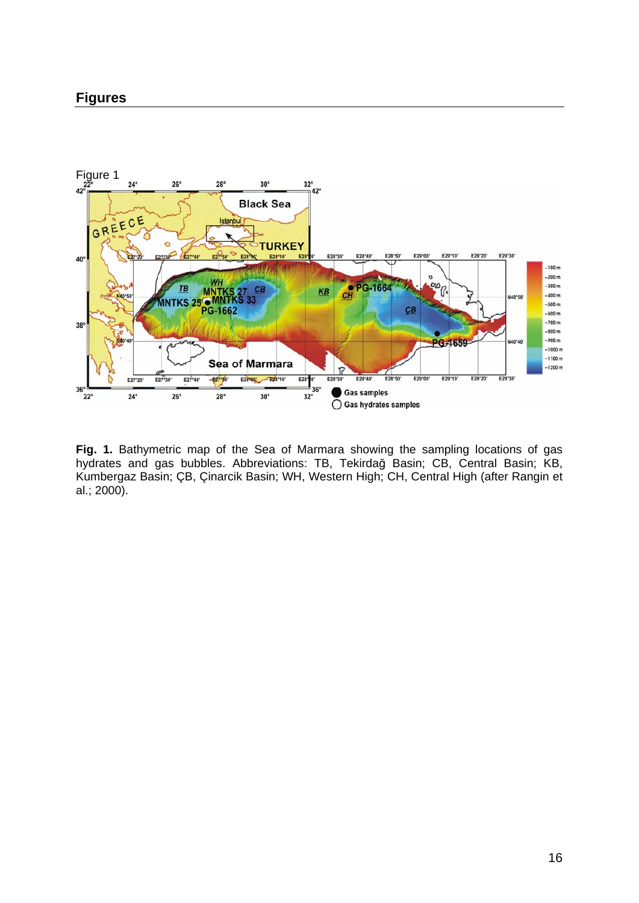### **Figures**



**Fig. 1.** Bathymetric map of the Sea of Marmara showing the sampling locations of gas hydrates and gas bubbles. Abbreviations: TB, Tekirdağ Basin; CB, Central Basin; KB, Kumbergaz Basin; ÇB, Çinarcik Basin; WH, Western High; CH, Central High (after Rangin et al.; 2000).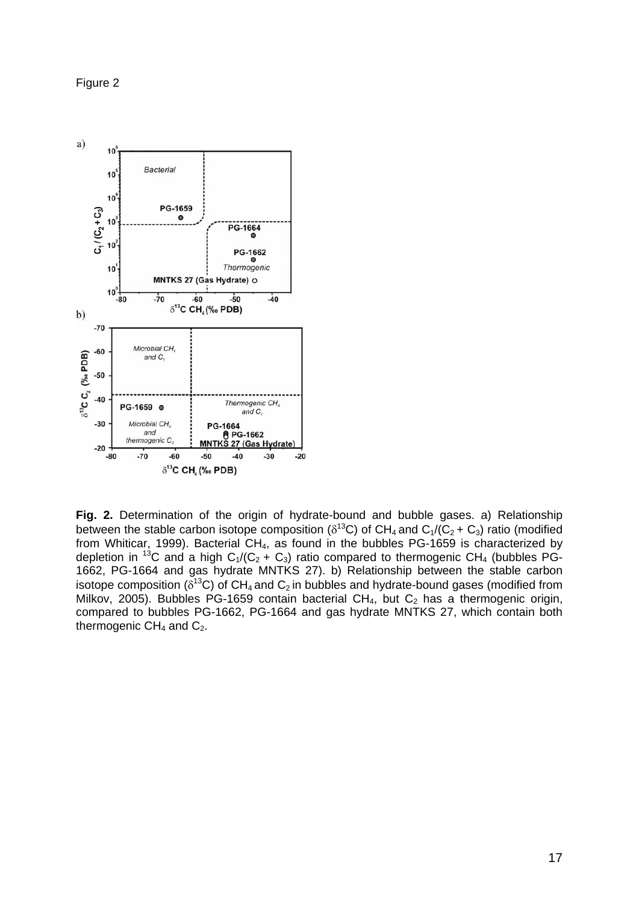Figure 2



**Fig. 2.** Determination of the origin of hydrate-bound and bubble gases. a) Relationship between the stable carbon isotope composition ( $\delta^{13}$ C) of CH<sub>4</sub> and C<sub>1</sub>/(C<sub>2</sub> + C<sub>3</sub>) ratio (modified from Whiticar, 1999). Bacterial  $CH_4$ , as found in the bubbles PG-1659 is characterized by depletion in <sup>13</sup>C and a high  $C_1/(C_2 + C_3)$  ratio compared to thermogenic CH<sub>4</sub> (bubbles PG-1662, PG-1664 and gas hydrate MNTKS 27). b) Relationship between the stable carbon isotope composition ( $\delta^{13}C$ ) of CH<sub>4</sub> and C<sub>2</sub> in bubbles and hydrate-bound gases (modified from Milkov, 2005). Bubbles PG-1659 contain bacterial  $CH_4$ , but  $C_2$  has a thermogenic origin, compared to bubbles PG-1662, PG-1664 and gas hydrate MNTKS 27, which contain both thermogenic  $CH<sub>4</sub>$  and  $C<sub>2</sub>$ .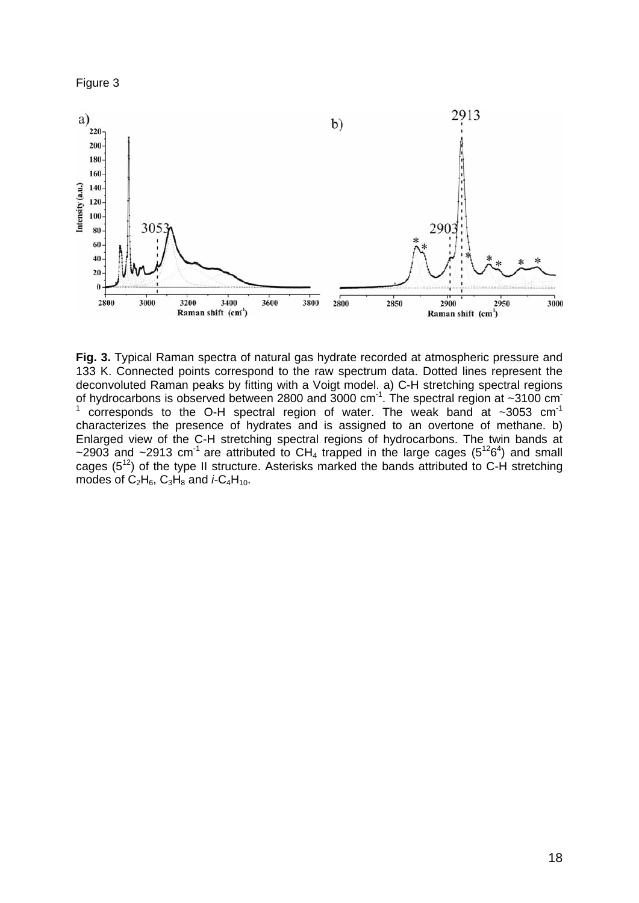



**Fig. 3.** Typical Raman spectra of natural gas hydrate recorded at atmospheric pressure and 133 K. Connected points correspond to the raw spectrum data. Dotted lines represent the deconvoluted Raman peaks by fitting with a Voigt model. a) C-H stretching spectral regions of hydrocarbons is observed between 2800 and 3000 cm<sup>-1</sup>. The spectral region at ~3100 cm<sup>-1</sup> 1 corresponds to the O-H spectral region of water. The weak band at  $\sim$ 3053 cm<sup>-1</sup> characterizes the presence of hydrates and is assigned to an overtone of methane. b) Enlarged view of the C-H stretching spectral regions of hydrocarbons. The twin bands at ~2903 and ~2913 cm<sup>-1</sup> are attributed to CH<sub>4</sub> trapped in the large cages ( $5^{12}6^4$ ) and small cages  $(5^{12})$  of the type II structure. Asterisks marked the bands attributed to C-H stretching modes of  $C_2H_6$ ,  $C_3H_8$  and  $\dot{r} - C_4H_{10}$ .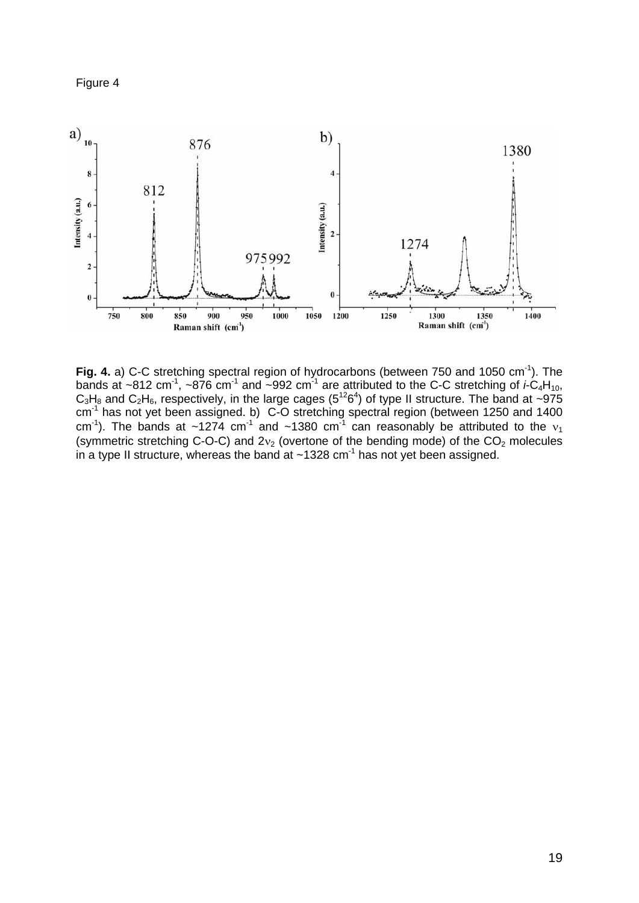



Fig. 4. a) C-C stretching spectral region of hydrocarbons (between 750 and 1050 cm<sup>-1</sup>). The bands at ~812 cm<sup>-1</sup>, ~876 cm<sup>-1</sup> and ~992 cm<sup>-1</sup> are attributed to the C-C stretching of  $\dot{r}C_4H_{10}$ ,  $C_3H_8$  and  $C_2H_6$ , respectively, in the large cages (5<sup>12</sup>6<sup>4</sup>) of type II structure. The band at ~975  $cm<sup>-1</sup>$  has not yet been assigned. b) C-O stretching spectral region (between 1250 and 1400 cm<sup>-1</sup>). The bands at ~1274 cm<sup>-1</sup> and ~1380 cm<sup>-1</sup> can reasonably be attributed to the  $v_1$ (symmetric stretching C-O-C) and  $2v_2$  (overtone of the bending mode) of the  $CO_2$  molecules in a type II structure, whereas the band at  $\sim$ 1328 cm<sup>-1</sup> has not yet been assigned.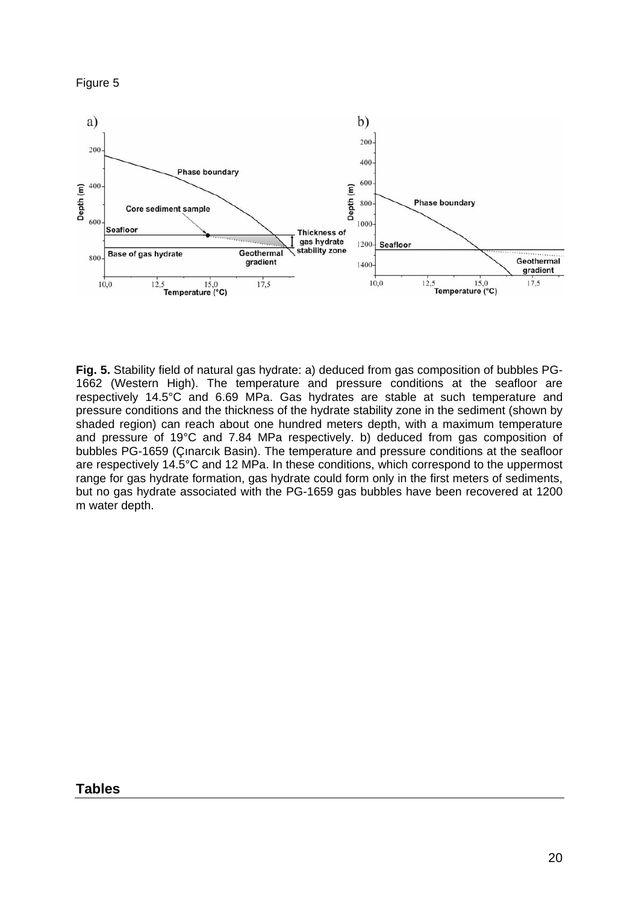



**Fig. 5.** Stability field of natural gas hydrate: a) deduced from gas composition of bubbles PG-1662 (Western High). The temperature and pressure conditions at the seafloor are respectively 14.5°C and 6.69 MPa. Gas hydrates are stable at such temperature and pressure conditions and the thickness of the hydrate stability zone in the sediment (shown by shaded region) can reach about one hundred meters depth, with a maximum temperature and pressure of 19°C and 7.84 MPa respectively. b) deduced from gas composition of bubbles PG-1659 (Çınarcık Basin). The temperature and pressure conditions at the seafloor are respectively 14.5°C and 12 MPa. In these conditions, which correspond to the uppermost range for gas hydrate formation, gas hydrate could form only in the first meters of sediments, but no gas hydrate associated with the PG-1659 gas bubbles have been recovered at 1200 m water depth.

### **Tables**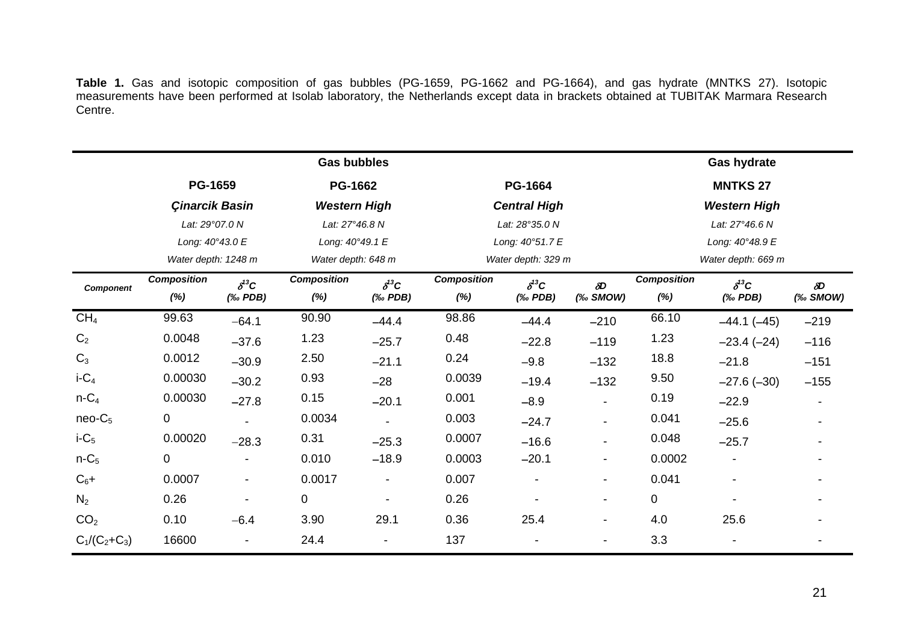**Table 1.** Gas and isotopic composition of gas bubbles (PG-1659, PG-1662 and PG-1664), and gas hydrate (MNTKS 27). Isotopic measurements have been performed at Isolab laboratory, the Netherlands except data in brackets obtained at TUBITAK Marmara Research Centre.

|                 |                                                           |                                                                    | <b>Gas bubbles</b>                                      |                                                                    |                                                  |                                                             |                          |                                                          | <b>Gas hydrate</b>                             |                        |
|-----------------|-----------------------------------------------------------|--------------------------------------------------------------------|---------------------------------------------------------|--------------------------------------------------------------------|--------------------------------------------------|-------------------------------------------------------------|--------------------------|----------------------------------------------------------|------------------------------------------------|------------------------|
|                 | <b>PG-1659</b><br><b>Çinarcik Basin</b><br>Lat: 29°07.0 N |                                                                    | <b>PG-1662</b><br><b>Western High</b><br>Lat: 27°46.8 N |                                                                    | PG-1664<br><b>Central High</b><br>Lat: 28°35.0 N |                                                             |                          | <b>MNTKS 27</b><br><b>Western High</b><br>Lat: 27°46.6 N |                                                |                        |
|                 |                                                           |                                                                    |                                                         |                                                                    |                                                  |                                                             |                          |                                                          |                                                |                        |
|                 |                                                           |                                                                    |                                                         |                                                                    |                                                  |                                                             |                          |                                                          |                                                |                        |
|                 | Long: 40°43.0 E                                           |                                                                    | Long: 40°49.1 E                                         |                                                                    | Long: 40°51.7 E                                  |                                                             |                          | Long: 40°48.9 E                                          |                                                |                        |
|                 | Water depth: 1248 m                                       |                                                                    | Water depth: 648 m                                      |                                                                    | Water depth: 329 m                               |                                                             |                          | Water depth: 669 m                                       |                                                |                        |
| Component       | <b>Composition</b><br>$(\%)$                              | $\delta^{13}C$<br>$(% \mathcal{L}_{0}\rightarrow \mathcal{L}_{1})$ | <b>Composition</b><br>$(\%)$                            | $\delta^{13}C$<br>$(% \mathcal{L}_{0}\rightarrow \mathcal{L}_{1})$ | <b>Composition</b><br>$(\%)$                     | $\delta^{13}C$<br>$(% \mathcal{L}_{0}\cap \mathcal{L}_{1})$ | $\delta D$<br>$%$ SMOW)  | <b>Composition</b><br>(%)                                | $\delta^{13}C$<br>$(% \mathcal{L}_{0})$ $PDB)$ | $\delta D$<br>(‰ SMOW) |
| CH <sub>4</sub> | 99.63                                                     | $-64.1$                                                            | 90.90                                                   | $-44.4$                                                            | 98.86                                            | $-44.4$                                                     | $-210$                   | 66.10                                                    | $-44.1(-45)$                                   | $-219$                 |
| C <sub>2</sub>  | 0.0048                                                    | $-37.6$                                                            | 1.23                                                    | $-25.7$                                                            | 0.48                                             | $-22.8$                                                     | $-119$                   | 1.23                                                     | $-23.4(-24)$                                   | $-116$                 |
| $C_3$           | 0.0012                                                    | $-30.9$                                                            | 2.50                                                    | $-21.1$                                                            | 0.24                                             | $-9.8$                                                      | $-132$                   | 18.8                                                     | $-21.8$                                        | $-151$                 |
| $i-C_4$         | 0.00030                                                   | $-30.2$                                                            | 0.93                                                    | $-28$                                                              | 0.0039                                           | $-19.4$                                                     | $-132$                   | 9.50                                                     | $-27.6(-30)$                                   | $-155$                 |
| $n-C_4$         | 0.00030                                                   | $-27.8$                                                            | 0.15                                                    | $-20.1$                                                            | 0.001                                            | $-8.9$                                                      | $\blacksquare$           | 0.19                                                     | $-22.9$                                        |                        |
| $neo-C5$        | 0                                                         |                                                                    | 0.0034                                                  | $\overline{\phantom{a}}$                                           | 0.003                                            | $-24.7$                                                     | $\blacksquare$           | 0.041                                                    | $-25.6$                                        |                        |
| $i-C5$          | 0.00020                                                   | $-28.3$                                                            | 0.31                                                    | $-25.3$                                                            | 0.0007                                           | $-16.6$                                                     |                          | 0.048                                                    | $-25.7$                                        |                        |
| $n-C5$          | 0                                                         |                                                                    | 0.010                                                   | $-18.9$                                                            | 0.0003                                           | $-20.1$                                                     | $\blacksquare$           | 0.0002                                                   |                                                |                        |
| $C_6+$          | 0.0007                                                    | $\overline{\phantom{a}}$                                           | 0.0017                                                  | $\blacksquare$                                                     | 0.007                                            |                                                             | $\overline{\phantom{a}}$ | 0.041                                                    |                                                |                        |
| $N_2$           | 0.26                                                      | $\blacksquare$                                                     | 0                                                       | $\overline{\phantom{a}}$                                           | 0.26                                             |                                                             | $\overline{\phantom{a}}$ | 0                                                        |                                                |                        |
| CO <sub>2</sub> | 0.10                                                      | $-6.4$                                                             | 3.90                                                    | 29.1                                                               | 0.36                                             | 25.4                                                        | $\overline{\phantom{a}}$ | 4.0                                                      | 25.6                                           |                        |
| $C_1/(C_2+C_3)$ | 16600                                                     |                                                                    | 24.4                                                    |                                                                    | 137                                              |                                                             | $\overline{\phantom{a}}$ | 3.3                                                      |                                                |                        |